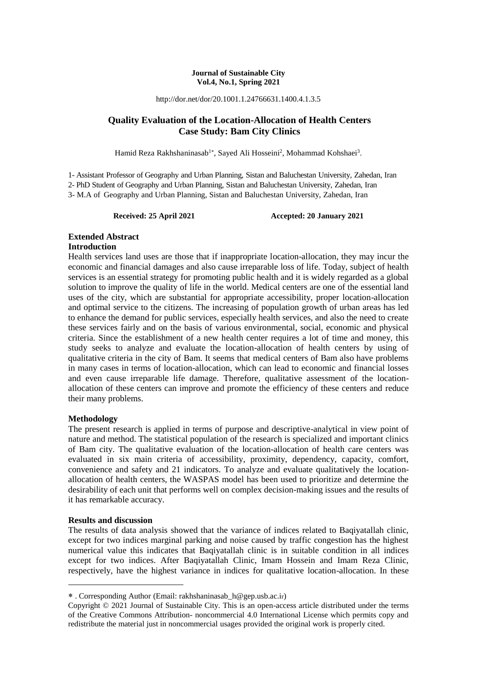#### **Journal of Sustainable City Vol.4, No.1, Spring 2021**

http://dor.net/dor/20.1001.1.24766631.1400.4.1.3.5

## **Quality Evaluation of the Location-Allocation of Health Centers Case Study: Bam City Clinics**

Hamid Reza Rakhshaninasab<sup>1</sup>\*, Sayed Ali Hosseini<sup>2</sup>, Mohammad Kohshaei<sup>3</sup>.

1- Assistant Professor of Geography and Urban Planning, Sistan and Baluchestan University, Zahedan, Iran

2- PhD Student of Geography and Urban Planning, Sistan and Baluchestan University, Zahedan, Iran

3- M.A of Geography and Urban Planning, Sistan and Baluchestan University, Zahedan, Iran

Received: 25 April 2021 **Accepted: 20 January 2021** 

## **Extended Abstract**

### **Introduction**

Health services land uses are those that if inappropriate location-allocation, they may incur the economic and financial damages and also cause irreparable loss of life. Today, subject of health services is an essential strategy for promoting public health and it is widely regarded as a global solution to improve the quality of life in the world. Medical centers are one of the essential land uses of the city, which are substantial for appropriate accessibility, proper location-allocation and optimal service to the citizens. The increasing of population growth of urban areas has led to enhance the demand for public services, especially health services, and also the need to create these services fairly and on the basis of various environmental, social, economic and physical criteria. Since the establishment of a new health center requires a lot of time and money, this study seeks to analyze and evaluate the location-allocation of health centers by using of qualitative criteria in the city of Bam. It seems that medical centers of Bam also have problems in many cases in terms of location-allocation, which can lead to economic and financial losses and even cause irreparable life damage. Therefore, qualitative assessment of the locationallocation of these centers can improve and promote the efficiency of these centers and reduce their many problems.

### **Methodology**

The present research is applied in terms of purpose and descriptive-analytical in view point of nature and method. The statistical population of the research is specialized and important clinics of Bam city. The qualitative evaluation of the location-allocation of health care centers was evaluated in six main criteria of accessibility, proximity, dependency, capacity, comfort, convenience and safety and 21 indicators. To analyze and evaluate qualitatively the locationallocation of health centers, the WASPAS model has been used to prioritize and determine the desirability of each unit that performs well on complex decision-making issues and the results of it has remarkable accuracy.

#### **Results and discussion**

**.** 

The results of data analysis showed that the variance of indices related to Baqiyatallah clinic, except for two indices marginal parking and noise caused by traffic congestion has the highest numerical value this indicates that Baqiyatallah clinic is in suitable condition in all indices except for two indices. After Baqiyatallah Clinic, Imam Hossein and Imam Reza Clinic, respectively, have the highest variance in indices for qualitative location-allocation. In these

. Corresponding Author (Email: rakhshaninasab\_h@gep.usb.ac.ir)

Copyright © 2021 Journal of Sustainable City. This is an open-access article distributed under the terms of the Creative Commons Attribution- noncommercial 4.0 International License which permits copy and redistribute the material just in noncommercial usages provided the original work is properly cited.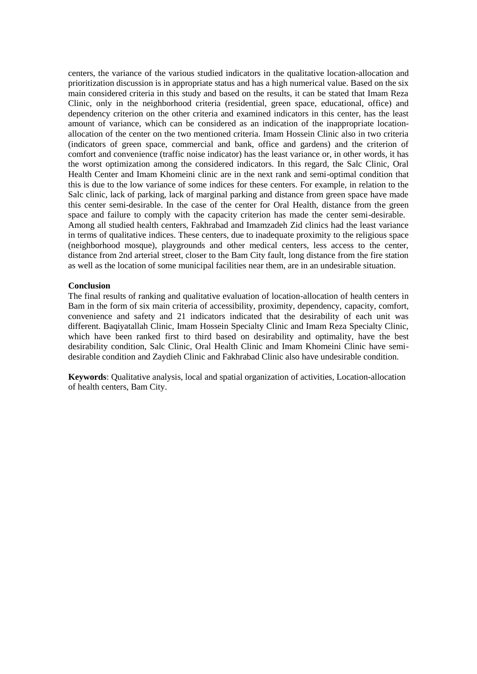centers, the variance of the various studied indicators in the qualitative location-allocation and prioritization discussion is in appropriate status and has a high numerical value. Based on the six main considered criteria in this study and based on the results, it can be stated that Imam Reza Clinic, only in the neighborhood criteria (residential, green space, educational, office) and dependency criterion on the other criteria and examined indicators in this center, has the least amount of variance, which can be considered as an indication of the inappropriate locationallocation of the center on the two mentioned criteria. Imam Hossein Clinic also in two criteria (indicators of green space, commercial and bank, office and gardens) and the criterion of comfort and convenience (traffic noise indicator) has the least variance or, in other words, it has the worst optimization among the considered indicators. In this regard, the Salc Clinic, Oral Health Center and Imam Khomeini clinic are in the next rank and semi-optimal condition that this is due to the low variance of some indices for these centers. For example, in relation to the Salc clinic, lack of parking, lack of marginal parking and distance from green space have made this center semi-desirable. In the case of the center for Oral Health, distance from the green space and failure to comply with the capacity criterion has made the center semi-desirable. Among all studied health centers, Fakhrabad and Imamzadeh Zid clinics had the least variance in terms of qualitative indices. These centers, due to inadequate proximity to the religious space (neighborhood mosque), playgrounds and other medical centers, less access to the center, distance from 2nd arterial street, closer to the Bam City fault, long distance from the fire station as well as the location of some municipal facilities near them, are in an undesirable situation.

### **Conclusion**

The final results of ranking and qualitative evaluation of location-allocation of health centers in Bam in the form of six main criteria of accessibility, proximity, dependency, capacity, comfort, convenience and safety and 21 indicators indicated that the desirability of each unit was different. Baqiyatallah Clinic, Imam Hossein Specialty Clinic and Imam Reza Specialty Clinic, which have been ranked first to third based on desirability and optimality, have the best desirability condition, Salc Clinic, Oral Health Clinic and Imam Khomeini Clinic have semidesirable condition and Zaydieh Clinic and Fakhrabad Clinic also have undesirable condition.

**Keywords**: Qualitative analysis, local and spatial organization of activities, Location-allocation of health centers, Bam City.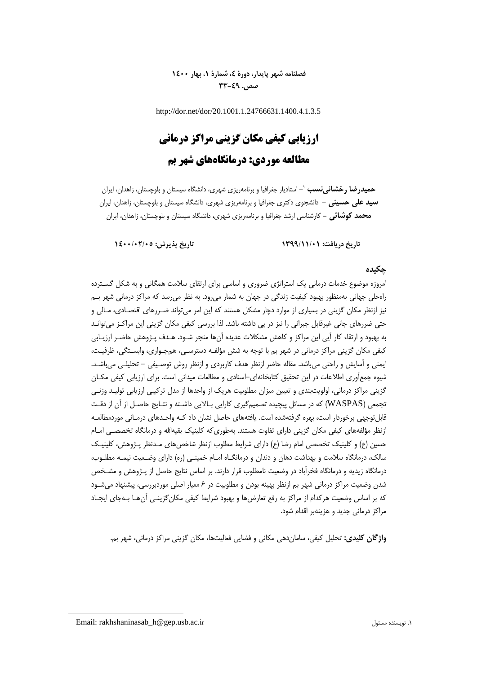**فصلنامه شهر پایدار، دورۀ ،4 شمارۀ ،1 بهار 1400 صص. 33-49**

http://dor.net/dor/20.1001.1.24766631.1400.4.1.3.5

# **ارزیابی کیفی مکان گزینی مراکز درمانی مطالعه موردی: درمانگاههای شهر بم**

**-** استادیار جغرافیا و برنامهریزی شهری، دانشگاه سیستان و بلوچستان، زاهدان، ایران <sup>1</sup> **حمیدرضا رخشانینسب سید علی حسینی -** دانشجوی دکتری جغرافیا و برنامهریزی شهری، دانشگاه سیستان و بلوچستان، زاهدان، ایران **محمد کوشائی -** کارشناسی ارشد جغرافیا و برنامهریزی شهری، دانشگاه سیستان و بلوچستان، زاهدان، ایران

**تاریخ دریافت: 1399/11/01 تاریخ پذیرش: 1400/02/05**

### **چکیده**

امروزه موضوع خدمات درمانی یک استراتژی ضروری و اساسی برای ارتقای سالمت همگانی و به شکل گسـترده راهحلی جهانی بهمنظور بهبود کیفیت زندگی در جهان به شمار میرود. به نظر میرسد که مراکز درمانی شهر بـم نیز ازنظر مکان گزینی در بسیاری از موارد دچار مشکل هستند که این امر میتواند ضـررهای اقتصـادی، مـالی و حتی ضررهای جانی غیرقابل جبرانی را نیز در پی داشته باشد. لذا بررسی کیفی مکان گزینی این مراکـز می¤وانـد به بهبود و ارتقاء کار آیی این مراکز و کاهش مشکالت عدیده آنها منجر شـود. هـدف پـژوهش حاضـر ارزیـابی کیفی مکان گزینی مراکز درمانی در شهر بم با توجه به شش مؤلفـه دسترسـی، همجـواری، وابسـتگی، ظرفیـت، ایمنی و آسایش و راحتی میباشد. مقاله حاضر ازنظر هدف کاربردی و ازنظر روش توصـیفی - تحلیلـی میباشـد. شیوه جمعآوری اطالعات در این تحقیق کتابخانهای-اسنادی و مطالعات میدانی است. برای ارزیابی کیفی مکـان گزینی مراکز درمانی، اولویتبندی و تعیین میزان مطلوبیت هریک از واحدها از مدل ترکیبی ارزیابی تولیـد وزنـی تجمعی )WASPAS )که در مسائل پیچیده تصمیمگیری کارایی بـاالیی داشـته و نتـایج حاصـل از آن از دقـت قابلتوجهی برخوردار است، بهره گرفتهشده است. یافتههای حاصل نشان داد کـه واحـدهای درمـانی موردمطالعـه ازنظر مؤلفههای کیفی مکان گزینی دارای تفاوت هستند. بهطوری که کلینیک بقیهالله و درمانگاه تخصصـی امـام حسین (ع) و کلینیک تخصصی امام رضا (ع) دارای شرایط مطلوب ازنظر شاخصهای مـدنظر پـژوهش، کلینیـک سالک، درمانگاه سالمت و بهداشت دهان و دندان و درمانگـاه امـام خمینـی )ره( دارای وضـعیت نیمـه مطلـوب، درمانگاه زیدیه و درمانگاه فخرآباد در وضعیت نامطلوب قرار دارند. بر اساس نتایج حاصل از پـژوهش و مشـخص شدن وضعیت مراکز درمانی شهر بم ازنظر بهینه بودن و مطلوبیت در 6 معیار اصلی موردبررسی، پیشنهاد میشـود که بر اساس وضعیت هرکدام از مراکز به رفع تعارض ها و بهبود شرایط کیفی مکان گزینـی آن هـا بـهجای ایجـاد مراکز درمانی جدید و هزینهبر اقدام شود.

**واژگان کلیدی:** تحلیل کیفی، ساماندهی مکانی و فضایی فعالیتها، مکان گزینی مراکز درمانی، شهر بم.

**.** 

Email: rakhshaninasab\_h@gep.usb.ac.ir مسئول نویسنده .1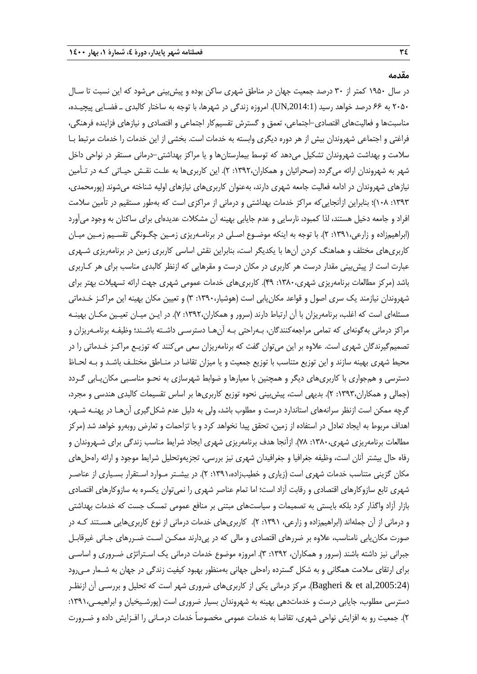**مقدمه**

در سال 1950 کمتر از 30 درصد جمعیت جهان در مناطق شهری ساکن بوده و پیشبینی میشود که این نسبت تا سـال 2050 به 66 درصد خواهد رسید ),2014:1UN). امروزه زندگی در شهرها، با توجه به ساختار کالبدی ـ فضـایی پیچیـده، مناسبتها و فعالیتهای اقتصادی-اجتماعی، تعمق و گسترش تقسیمکار اجتماعی و اقتصادی و نیازهای فزاینده فرهنگی، فراغتی و اجتماعی شهروندان بیش از هر دوره دیگری وابسته به خدمات است. بخشی از این خدمات را خدمات مرتبط بـا سلامت و بهداشت شهروندان تشکیل میدهد که توسط بیمارستانها و یا مراکز بهداشتی-درمانی مستقر در نواحی داخل شهر به شهروندان ارائه میگردد )صحرائیان و همکاران:1392، 2(. این کاربریها به علـت نقـش حیـاتی کـه در تـأمین نیازهای شهروندان در ادامه فعالیت جامعه شهری دارند، بهعنوان کاربریهای نیازهای اولیه شناخته میشوند )پورمحمدی، :1393 108(؛ بنابراین ازآنجاییکه مراکز خدمات بهداشتی و درمانی از مراکزی است که بهطور مستقیم در تأمین سالمت افراد و جامعه دخیل هستند، لذا کمبود، نارسایی و عدم جایابی بهینه آن مشکالت عدیدهای برای ساکنان به وجود میآورد )ابراهیمزاده و زارعی:1391، 2(. با توجه به اینکه موضـوع اصـلی در برنامـهریزی زمـین چگـونگی تقسـیم زمـین میـان کاربریهای مختلف و هماهنگ کردن آنها با یکدیگر است، بنابراین نقش اساسی کاربری زمین در برنامهریزی شـهری عبارت است از پیشبینی مقدار درست هر کاربری در مکان درست و مقرهایی که ازنظر کالبدی مناسب برای هر کـاربری باشد )مرکز مطالعات برنامهریزی شهری:1380، 49(. کاربریهای خدمات عمومی شهری جهت ارائه تسهیالت بهتر برای شهروندان نیازمند یک سری اصول و قواعد مکانیابی است )هوشیار:1390، 3( و تعیین مکان بهینه این مراکـز خـدماتی مسئلهای است که اغلب، برنامهریزان با آن ارتباط دارند (سرور و همکاران،۱۳۹۲: ۷). در ایـن میـان تعیـین مکـان بهینـه مراکز درمانی بهگونهای که تمامی مراجعهکنندگان، بـهراحتی بـه آنهـا دسترسـی داشـته باشـند؛ وظیفـه برنامـهریزان و تصمیمگیرندگان شهری است. عالوه بر این میتوان گفت که برنامهریزان سعی میکنند که توزیـع مراکـز خـدماتی را در محیط شهری بهینه سازند و این توزیع متناسب با توزیع جمعیت و یا میزان تقاضا در منـاطق مختلـف باشـد و بـه لحـاظ دسترسی و همجواری با کاربریهای دیگر و همچنین با معیارها و ضوابط شهرسازی به نحـو مناسـبی مکان<code>یـابی گـردد</code> )جمالی و همکاران:1393، 2(. بدیهی است، پیشبینی نحوه توزیع کاربریها بر اساس تقسیمات کالبدی هندسی و مجرد، گرچه ممکن است ازنظر سرانههای استاندارد درست و مطلوب باشد، ولی به دلیل عدم شکلگیری آنهـا در پهنـه شـهر، اهداف مربوط به ایجاد تعادل در استفاده از زمین، تحقق پیدا نخواهد کرد و با تزاحمات و تعارض روبهرو خواهد شد (مرکز مطالعات برنامهریزی شهری،۱۳۸۰: ۷۸). ازآنجا هدف برنامهریزی شهری ایجاد شرایط مناسب زندگی برای شـهروندان و رفاه حال بیشتر آنان است، وظیفه جغرافیا و جغرافیدان شهری نیز بررسی، تجزیهوتحلیل شرایط موجود و ارائه راهحلهای مکان گزینی متناسب خدمات شهری است (زیاری و خطیبزاده،۱۳۹۱: ۲). در بیشـتر مـوارد اسـتقرار بسـیاری از عناصـر شهری تابع سازوکارهای اقتصادی و رقابت آزاد است؛ اما تمام عناصر شهری را نمیتوان یکسره به سازوکارهای اقتصادی بازار آزاد واگذار کرد بلکه بایستی به تصمیمات و سیاستهای مبتنی بر منافع عمومی تمسک جست که خدمات بهداشتی و درمانی از آن جملهاند )ابراهیمزاده و زارعی، :1391 2(. کاربریهای خدمات درمانی از نوع کاربریهایی هسـتند کـه در صورت مکانیابی نامناسب، عالوه بر ضررهای اقتصادی و مالی که در پیدارند ممکـن اسـت ضـررهای جـانی ریرقابـل جبرانی نیز داشته باشند (سرور و همکاران، ۱۳۹۲: ۳). امروزه موضوع خدمات درمانی یک اسـتراتژی ضـروری و اساسـی برای ارتقای سالمت همگانی و به شکل گسترده راهحلی جهانی بهمنظور بهبود کیفیت زندگی در جهان به شـمار مـیرود ),2005:24al et & Bagheri). مرکز درمانی یکی از کاربریهای ضروری شهر است که تحلیل و بررسـی آن ازنظـر دسترسی مطلوب، جایابی درست و خدماتدهی بهینه به شهروندان بسیار ضروری است (پورشـیخیان و ابراهیمـی،۱۳۹۱: 2(. جمعیت رو به افزایش نواحی شهری، تقاضا به خدمات عمومی مخصوصاً خدمات درمـانی را افـزایش داده و ضـرورت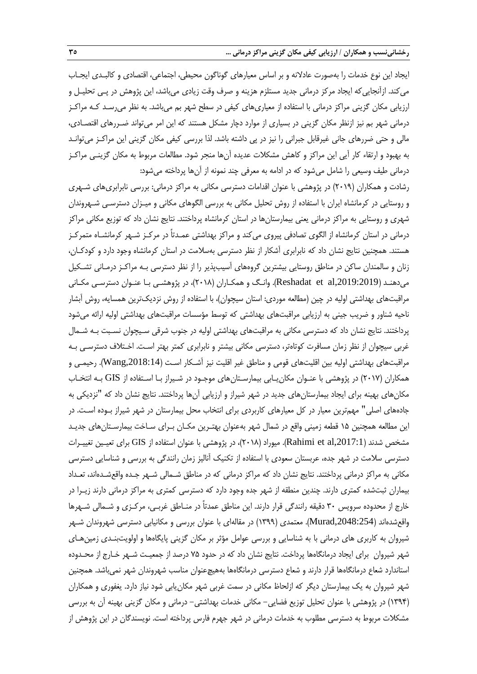ایجاد این نوع خدمات را بهصورت عادالنه و بر اساس معیارهای گوناگون محیطی، اجتماعی، اقتصادی و کالبـدی ایجـاب میکند. ازآنجاییکه ایجاد مرکز درمانی جدید مستلزم هزینه و صرف وقت زیادی میباشد، این پژوهش در پـی تحلیـل و ارزیابی مکان گزینی مراکز درمانی با استفاده از معیاریهای کیفی در سطح شهر بم میباشد. به نظر میرسـد کـه مراکـز درمانی شهر بم نیز ازنظر مکان گزینی در بسیاری از موارد دچار مشکل هستند که این امر میتواند ضـررهای اقتصـادی، مالی و حتی ضررهای جانی غیرقابل جبرانی را نیز در پی داشته باشد. لذا بررسی کیفی مکان گزینی این مراکـز میتوانـد به بهبود و ارتقاء کار آیی این مراکز و کاهش مشکالت عدیده آنها منجر شود. مطالعات مربو به مکان گزینـی مراکـز درمانی طیف وسیعی را شامل میشود که در ادامه به معرفی چند نمونه از آنها پرداخته میشود:

رشادت و همکاران )2019( در پژوهشی با عنوان اقدامات دسترسی مکانی به مراکز درمانی: بررسی نابرابریهای شـهری و روستایی در کرمانشاه ایران با استفاده از روش تحلیل مکانی به بررسی الگوهای مکانی و میـزان دسترسـی شـهروندان شهری و روستایی به مراکز درمانی یعنی بیمارستانها در استان کرمانشاه پرداختند. نتایج نشان داد که توزیع مکانی مراکز درمانی در استان کرمانشاه از الگوی تصادفی پیروی میکند و مراکز بهداشتی عمـدتاً در مرکـز شـهر کرمانشـاه متمرکـز هستند. همچنین نتایج نشان داد که نابرابری آشکار از نظر دسترسی بهسالمت در استان کرمانشاه وجود دارد و کودکـان، زنان و سالمندان ساکن در مناطق روستایی بیشترین گروههای آسیبپذیر را از نظر دسترسی بـه مراکـز درمـانی تشـکیل میدهنـد ),2019:2019al et Reshadat). وانـگ و همکـاران )2018(، در پژوهشـی بـا عنـوان دسترسـی مکـانی مراقبتهای بهداشتی اولیه در چین (مطالعه موردی: استان سیچوان)، با استفاده از روش نزدیکترین همسایه، روش آبشار ناحیه شناور و ضریب جینی به ارزیابی مراقبتهای بهداشتی که توسط مؤسسات مراقبتهای بهداشتی اولیه ارائه میشود پرداختند. نتایج نشان داد که دسترسی مکانی به مراقبتهای بهداشتی اولیه در جنوب شرقی سـیچوان نسـبت بـه شـمال رربی سیچوان از نظر زمان مسافرت کوتاهتر، دسترسی مکانی بیشتر و نابرابری کمتر بهتر اسـت. اخـتالف دسترسـی بـه مراقبتهای بهداشتی اولیه بین اقلیتهای قومی و مناطق غیر اقلیت نیز آشـکار اسـت (Wang,2018:14). رحیمـی و همکاران )2017( در پژوهشی با عنـوان مکانیـابی بیمارسـتانهای موجـود در شـیراز بـا اسـتفاده از GIS بـه انتخـاب مکانهای بهینه برای ایجاد بیمارستانهای جدید در شهر شیراز و ارزیابی آنها پرداختند. نتایج نشان داد که "نزدیکی به جادههای اصلی" مهمترین معیار در کل معیارهای کاربردی برای انتخاب محل بیمارستان در شهر شیراز بـوده اسـت. در این مطالعه همچنین 15 قطعه زمینی واقع در شمال شهر بهعنوان بهتـرین مکـان بـرای سـاخت بیمارسـتانهای جدیـد مشخص شدند (Rahimi et al,2017:1). میوراد (۲۰۱۸)، در پژوهشی با عنوان استفاده از GIS برای تعیـین تغییـرات دسترسی سالمت در شهر جده، عربستان سعودی با استفاده از تکنیک آنالیز زمان رانندگی به بررسی و شناسایی دسترسی مکانی به مراکز درمانی پرداختند. نتایج نشان داد که مراکز درمانی که در مناطق شـمالی شـهر جـده واقعشـدهاند، تعـداد بیماران ثبتشده کمتری دارند. چندین منطقه از شهر جده وجود دارد که دسترسی کمتری به مراکز درمانی دارند زیـرا در خارج از محدوده سرویس ۳۰ دقیقه رانندگی قرار دارند. این مناطق عمدتاً در منـاطق غربـی، مرکـزی و شـمالی شـهرها واقعشدهاند ),2048:254Murad). معتمدی )1399( در مقالهای با عنوان بررسی و مکانیابی دسترسی شهروندان شـهر شیروان به کاربری های درمانی با به شناسایی و بررسی عوامل مؤثر بر مکان گزینی پایگاهها و اولویتبنـدی زمینهـای شهر شیروان برای ایجاد درمانگاهها پرداخت. نتایج نشان داد که در حدود 75 درصد از جمعیـت شـهر خـارج از محـدوده استاندارد شعاع درمانگاهها قرار دارند و شعاع دسترسی درمانگاهها بههیچعنوان مناسب شهروندان شهر نمیباشد. همچنین شهر شیروان به یک بیمارستان دیگر که ازلحاظ مکانی در سمت رربی شهر مکانیابی شود نیاز دارد. یغفوری و همکاران )1394( در پژوهشی با عنوان تحلیل توزیع فضایی- مکانی خدمات بهداشتی- درمانی و مکان گزینی بهینه آن به بررسی مشکلات مربوط به دسترسی مطلوب به خدمات درمانی در شهر جهرم فارس پرداخته است. نویسندگان در این پژوهش از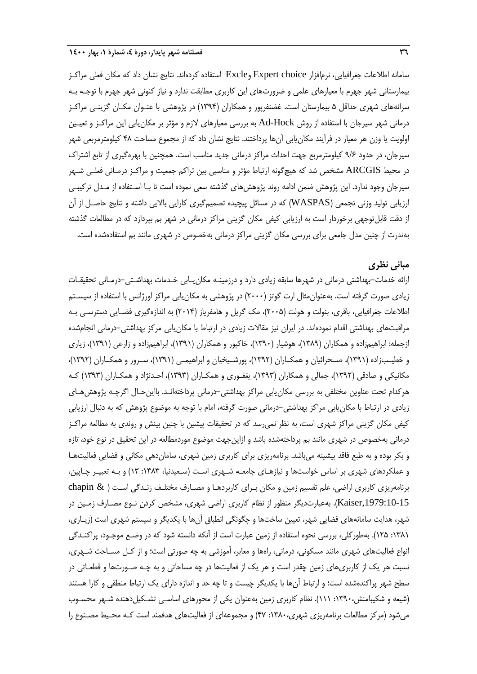سامانه اطالعات جغرافیایی، نرمافزار choice Expert وExcle استفاده کردهاند. نتایج نشان داد که مکان فعلی مراکـز بیمارستانی شهر جهرم با معیارهای علمی و ضرورتهای این کاربری مطابقت ندارد و نیاز کنونی شهر جهرم با توجـه بـه سرانههای شهری حداقل ۵ بیمارستان است. غضنفرپور و همکاران (۱۳۹۴) در پژوهشی با عنـوان مکـان گزینـی مراکـز درمانی شهر سیرجان با استفاده از روش Hock-Ad به بررسی معیارهای الزم و مؤثر بر مکانیابی این مراکـز و تعیـین اولویت یا وزن هر معیار در فرآیند مکانیابی آنها پرداختند. نتایج نشان داد که از مجموع مساحت 48 کیلومترمربعی شهر سیرجان، در حدود 9/6 کیلومترمربع جهت احداث مراکز درمانی جدید مناسب است. همچنین با بهرهگیری از تابع اشتراك در محیط ARCGIS مشخص شد که هیچگونه ارتباط مؤثر و مناسبی بین تراکم جمعیت و مراکـز درمـانی فعلـی شـهر سیرجان وجود ندارد. این پژوهش ضمن ادامه روند پژوهشهای گذشته سعی نموده است تا بـا اسـتفاده از مـدل ترکیبـی ارزیابی تولید وزنی تجمعی )WASPAS )که در مسائل پیچیده تصمیمگیری کارایی باالیی داشته و نتایج حاصـل از آن از دقت قابلتوجهی برخوردار است به ارزیابی کیفی مکان گزینی مراکز درمانی در شهر بم بپردازد که در مطالعات گذشته بهندرت از چنین مدل جامعی برای بررسی مکان گزینی مراکز درمانی بهخصوص در شهری مانند بم استفادهشده است.

### **مبانی نظری**

ارائه خدمات-بهداشتی درمانی در شهرها سابقه زیادی دارد و درزمینـه مکانیـابی خـدمات بهداشـتی-درمـانی تحقیقـات زیادی صورت گرفته است. بهعنوان مثال ارت گوتز (۲۰۰۰) در پژوهشی به مکان یابی مراکز اورژانس با استفاده از سیسـتم اطالعات جغرافیایی، باقری، بنولت و هولت )2005(، مک گریل و هامفریاز )2014( به اندازهگیری فضـایی دسترسـی بـه مراقبتهای بهداشتی اقدام نمودهاند. در ایران نیز مقالات زیادی در ارتباط با مکان یابی مرکز بهداشتی-درمانی انجامشده ازجمله: ابراهیمزاده و همکاران )1389(، هوشیار )1390(، خاکپور و همکاران )1391(، ابراهیمزاده و زارعی )1391(، زیاری و خطیـبزاده (۱۳۹۱)، صـحرائیان و همکـاران (۱۳۹۲)، پورشـیخیان و ابراهیمـی (۱۳۹۱)، سـرور و همکـاران (۱۳۹۲)، مکانیکی و صادقی (۱۳۹۲)، جمالی و همکاران (۱۳۹۳)، یغفـوری و همکـاران (۱۳۹۳)، احـدنژاد و همکـاران (۱۳۹۳) کـه هرکدام تحت عناوین مختلفی به بررسی مکانیابی مراکز بهداشتی-درمانی پرداختهانـد. بااینحـال اگرچـه پژوهشهـای زیادی در ارتباط با مکان یابی مراکز بهداشتی-درمانی صورت گرفته، امام با توجه به موضوع پژوهش که به دنبال ارزیابی کیفی مکان گزینی مراکز شهری است، به نظر نمیرسد که در تحقیقات پیشین با چنین بینش و روندی به مطالعه مراکـز درمانی بهخصوص در شهری مانند بم پرداختهشده باشد و ازاینجهت موضوع موردمطالعه در این تحقیق در نوع خود، تازه و بکر بوده و به طبع فاقد پیشینه میباشد. برنامهریزی برای کاربری زمین شهری، ساماندهی مکانی و فضایی فعالیتهـا و عملکردهای شهری بر اساس خواستها و نیازهـای جامعـه شـهری اسـت )سـعیدنیا، :1383 13( و بـه تعبیـر چـاپین، برنامهریزی کاربری اراضی، علم تقسیم زمین و مکان بـرای کاربردهـا و مصـارف مختلـف زنـدگی اسـت ) & chapin ,1979:10-15Kaiser). بهعبارتدیگر منظور از نظام کاربری اراضی شهری، مشخص کردن نـوع مصـارف زمـین در شهر، هدایت سامانههای فضایی شهر، تعیین ساختها و چگونگی انطباق آنها با یکدیگر و سیستم شهری است )زیـاری، :1381 125(. بهطورکلی، بررسی نحوه استفاده از زمین عبارت است از آنکه دانسته شود که در وضـع موجـود، پراکنـدگی انواع فعالیتهای شهری مانند مسکونی، درمانی، راهها و معابر، آموزشی به چه صورتی است؛ و از کـل مسـاحت شـهری، نسبت هر یک از کاربریهای زمین چقدر است و هر یک از فعالیتها در چه مساحاتی و به چـه صـورتها و قطعـاتی در سطح شهر پراکندهشده است؛ و ارتباط آنها با یکدیگر چیست و تا چه حد و اندازه دارای یک ارتباط منطقی و کارا هستند )شیعه و شکیبامنش:1390، 111(. نظام کاربری زمین بهعنوان یکی از محورهای اساسـی تشـکیلدهنده شـهر محسـوب میشود (مرکز مطالعات برنامهریزی شهری،۱۳۸۰: ۴۷) و مجموعهای از فعالیتهای هدفمند است کـه محـیط مصـنوع را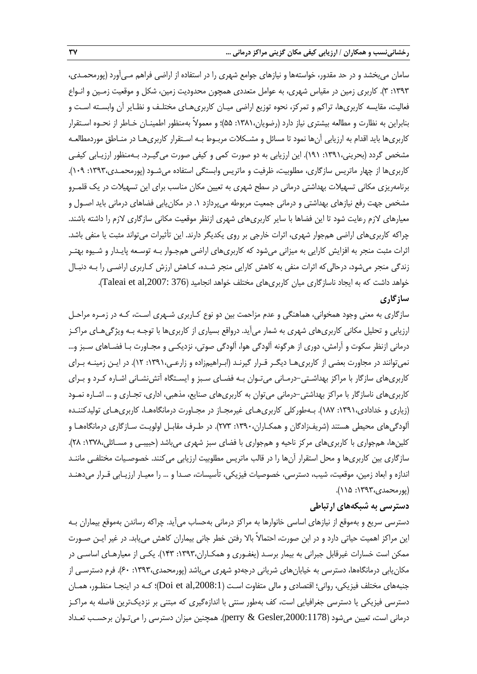سامان میبخشد و در حد مقدور، خواستهها و نیازهای جوامع شهری را در استفاده از اراضی فراهم مـیآورد )پورمحمـدی، :1393 3(. کاربری زمین در مقیاس شهری، به عوامل متعددی همچون محدودیت زمین، شکل و موقعیت زمـین و انـواع فعالیت، مقایسه کاربریها، تراکم و تمرکز، نحوه توزیع اراضی میـان کاربریهـای مختلـف و نظـایر آن وابسـته اسـت و بنابراین به نظارت و مطالعه بیشتری نیاز دارد )رضویان:1381، 55(؛ و معموالً بهمنظور اطمینـان خـاطر از نحـوه اسـتقرار کاربریها باید اقدام به ارزیابی آنها نمود تا مسائل و مشـکالت مربـو بـه اسـتقرار کاربریهـا در منـاطق موردمطالعـه مشخص گردد (بحرینی،۱۳۹۱: ۱۹۱). این ارزیابی به دو صورت کمی و کیفی صورت میگیـرد. بـهمنظور ارزیـابی کیفـی کاربریها از چهار ماتریس سازگاری، مطلوبیت، ظرفیت و ماتریس وابستگی استفاده میشـود )پورمحمـدی:1393، 109(. برنامهریزی مکانی تسهیالت بهداشتی درمانی در سطح شهری به تعیین مکان مناسب برای این تسهیالت در یک قلمـرو مشخص جهت رفع نیازهای بهداشتی و درمانی جمعیت مربوطه میپردازد .1 در مکانیابی فضاهای درمانی باید اصـول و معیارهای لازم رعایت شود تا این فضاها با سایر کاربریهای شهری ازنظر موقعیت مکانی سازگاری لازم را داشته باشند. چراکه کاربریهای اراضی همجوار شهری، اثرات خارجی بر روی یکدیگر دارند. این تأثیرات میتواند مثبت یا منفی باشد. اثرات مثبت منجر به افزایش کارایی به میزانی میشود که کاربریهای اراضی همجـوار بـه توسـعه پایـدار و شـیوه بهتـر زندگی منجر میشود، درحالیکه اثرات منفی به کاهش کارایی منجر شـده، کـاهش ارزش کـاربری اراضـی را بـه دنبـال خواهد داشت که به ایجاد ناسازگاری میان کاربریهای مختلف خواهد انجامید (Taleai et al,2007: 376). **سازگاری**

## سازگاری به معنی وجود همخوانی، هماهنگی و عدم مزاحمت بین دو نوع کـاربری شـهری اسـت، کـه در زمـره مراحـل ارزیابی و تحلیل مکانی کاربریهای شهری به شمار میآید. درواقع بسیاری از کاربریها با توجـه بـه ویژگیهـای مراکـز درمانی ازنظر سکوت و آرامش، دوری از هرگونه آلودگی هوا، آلودگی صوتی، نزدیکـی و مجـاورت بـا فضـاهای سـبز و... نمیتوانند در مجاورت بعضی از کاربریهـا دیگـر قـرار گیرنـد )ابـراهیمزاده و زارعـی:1391، 12(. در ایـن زمینـه بـرای کاربریهای سازگار با مراکز بهداشـتی-درمـانی میتـوان بـه فضـای سـبز و ایسـتگاه آتشنشـانی اشـاره کـرد و بـرای کاربریهای ناسازگار با مراکز بهداشتی-درمانی میتوان به کاربریهای صنایع، مذهبی، اداری، تجـاری و ... اشـاره نمـود )زیاری و خدادادی:1391، 187(. بـهطورکلی کاربریهـای ریرمجـاز در مجـاورت درمانگاههـا، کاربریهـای تولیدکننـده آلودگیهای محیطی هستند )شریفزادگان و همکـاران:1390، 273(. در طـرف مقابـل اولویـت سـازگاری درمانگاههـا و کلینها، همجواری با کاربریهای مرکز ناحیه و همجواری با فضای سبز شهری میباشد )حبیبـی و مسـائلی:1378، 28(. سازگاری بین کاربریها و محل استقرار آنها را در قالب ماتریس مطلوبیت ارزیابی میکنند. خصوصـیات مختلفـی ماننـد اندازه و ابعاد زمین، موقعیت، شیب، دسترسی، خصوصیات فیزیکی، تأسیسات، صـدا و ... را معیـار ارزیـابی قـرار میدهنـد )پورمحمدی:1393، 115(.

## **دسترسی به شبکههای ارتباطی**

دسترسی سریع و بهموقع از نیازهای اساسی خانوارها به مراکز درمانی بهحساب میآید. چراکه رساندن بهموقع بیماران بـه این مراکز اهمیت حیاتی دارد و در ابن صورت، احتماالً باال رفتن خطر جانی بیماران کاهش مییابد. در ریر ایـن صـورت ممکن است خسارات غیرقابل جبرانی به بیمار برسـد (یغفـوری و همکـاران،۱۳۹۳: ۱۴۳). یکـی از معیارهـای اساسـی در مکان یابی درمانگاهها، دسترسی به خیابانهای شریانی درجهدو شهری میباشد (پورمحمدی،١٣٩٣: ۶۰). فرم دسترسـی از جنبههای مختلف فیزیکی، روانی؛ اقتصادی و مالی متفاوت اسـت (Doi et al,2008:1)؛ کـه در اینجـا منظـور، همـان دسترسی فیزیکی یا دسترسی جغرافیایی است، کف بهطور سنتی با اندازهگیری که مبتنی بر نزدیکترین فاصله به مراکـز درمانی است، تعیین میشود ),2000:1178Gesler & perry). همچنین میزان دسترسی را میتـوان برحسـب تعـداد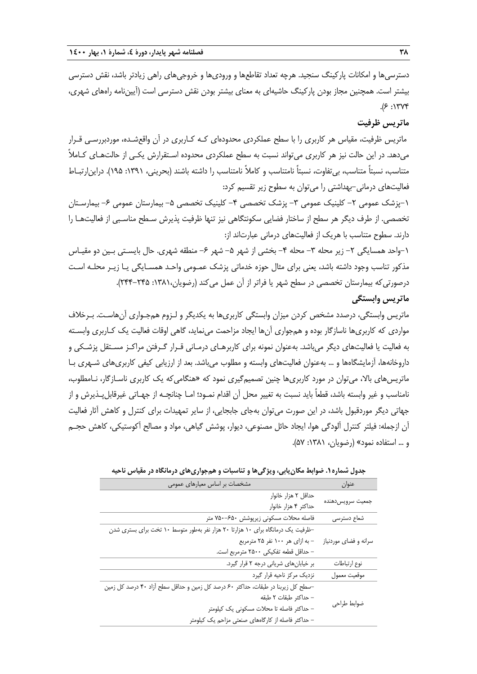دسترسیها و امکانات پارکینگ سنجید. هرچه تعداد تقاطعها و ورودیها و خروجیهای راهی زیادتر باشد، نقش دسترسی بیشتر است. همچنین مجاز بودن پارکینگ حاشیهای به معنای بیشتر بودن نقش دسترسی است )آییننامه راههای شهری،  $.9$  :1۳۷۴

## **ماتریس ظرفیت**

ماتریس ظرفیت، مقیاس هر کاربری را با سطح عملکردی محدودهای کـه کـاربری در آن واقعشـده، موردبررسـی قـرار میدهد. در این حالت نیز هر کاربری میتواند نسبت به سطح عملکردی محدوده اسـتقرارش یکـی از حالتهـای کـامالً متناسب، نسبتاً متناسب، بیتفاوت، نسبتاً نامتناسب و کامالً نامتناسب را داشته باشند )بحرینی، :1391 195(. دراینارتبـا فعالیتهای درمانی-بهداشتی را میتوان به سطوح زیر تقسیم کرد:

-1پزشک عمومی -2 کلینیک عمومی -3 پزشک تخصصی -4 کلینیک تخصصی -5 بیمارستان عمومی -6 بیمارسـتان تخصصی. از طرف دیگر هر سطح از ساختار فضایی سکونتگاهی نیز تنها ظرفیت پذیرش سـطح مناسـبی از فعالیتهـا را دارند. سطوح متناسب با هریک از فعالیتهای درمانی عبارتاند از:

-1واحد همسایگی -2 زیر محله -3 محله -4 بخشی از شهر -5 شهر -6 منطقه شهری. حال بایسـتی بـین دو مقیـاس مذکور تناسب وجود داشته باشد، یعنی برای مثال حوزه خدماتی پزشک عمـومی واحـد همسـایگی یـا زیـر محلـه اسـت درصورتیکه بیمارستان تخصصی در سطح شهر یا فراتر از آن عمل میکند )رضویان:1381، 244-245(.

## **ماتریس وابستگی**

ماتریس وابستگی، درصدد مشخص کردن میزان وابستگی کاربریها به یکدیگر و لـزوم همجـواری آنهاسـت. بـرخالف مواردی که کاربریها ناسازگار بوده و همجواری آنها ایجاد مزاحمت مینماید، گاهی اوقات فعالیت یک کـاربری وابسـته به فعالیت یا فعالیتهای دیگر میباشد. بهعنوان نمونه برای کاربرهـای درمـانی قـرار گـرفتن مراکـز مسـتقل پزشـکی و داروخانهها، آزمایشگاهها و ... بهعنوان فعالیتهای وابسته و مطلوب میباشد. بعد از ارزیابی کیفی کاربریهای شـهری بـا ماتریسهای باال، میتوان در مورد کاربریها چنین تصمیمگیری نمود که »هنگامیکه یک کاربری ناسـازگار، نـامطلوب، نامناسب و غیر وابسته باشد، قطعاً باید نسبت به تغییر محل آن اقدام نمـود؛ امـا چنانچـه از جهـاتی غیرقابل<code>پـذیرش و از</code> جهاتی دیگر موردقبول باشد، در این صورت میتوان بهجای جابجایی، از سایر تمهیدات برای کنترل و کاهش آثار فعالیت آن ازجمله: فیلتر کنترل آلودگی هوا، ایجاد حائل مصنوعی، دیوار، پوشش گیاهی، مواد و مصالح آکوستیکی، کاهش حجـم و ... استفاده نمود« )رضویان، :1381 57(.

| مشخصات بر اساس معیارهای عمومی                                                    | عنوان                 |
|----------------------------------------------------------------------------------|-----------------------|
| حداقل ۲ هزار خانوار                                                              |                       |
| حداکثر ۴ هزار خانوار                                                             | جمعيت سرويس دهنده     |
| فاصله محلات مسکونی زیرپوشش ۶۵۰–۷۵۰ متر                                           | شعاع دسترسى           |
| -ظرفیت یک درمانگاه برای ۱۰ هزارتا ۲۰ هزار نفر بهطور متوسط ۱۰ تخت برای بستری شدن  |                       |
| - به ازای هر ۱۰۰ نفر ۲۵ مترمربع                                                  | سرانه و فضای موردنیاز |
| – حداقل قطعه تفكيكي ٢۵٠٠ مترمربع است.                                            |                       |
| بر خیابانهای شریانی درجه ٢ قرار گیرد.                                            | نوع ارتباطات          |
| نزدیک مرکز ناحیه قرار گیرد                                                       | موقعيت معمول          |
| –سطح کل زیربنا در طبقات، حداکثر ۶۰ درصد کل زمین و حداقل سطح آزاد ۴۰ درصد کل زمین |                       |
| – حداكثر طبقات ٢ طبقه                                                            |                       |
| – حداکثر فاصله تا محلات مسکونی یک کیلومتر                                        | ضوابط طراحى           |
| – حداکثر فاصله از کارگاههای صنعتی مزاحم یک کیلومتر                               |                       |

**جدول شماره.1 ضوابط مکانیابی، ویژگیها و تناسبات و همجواریهای درمانگاه در مقیاس ناحیه**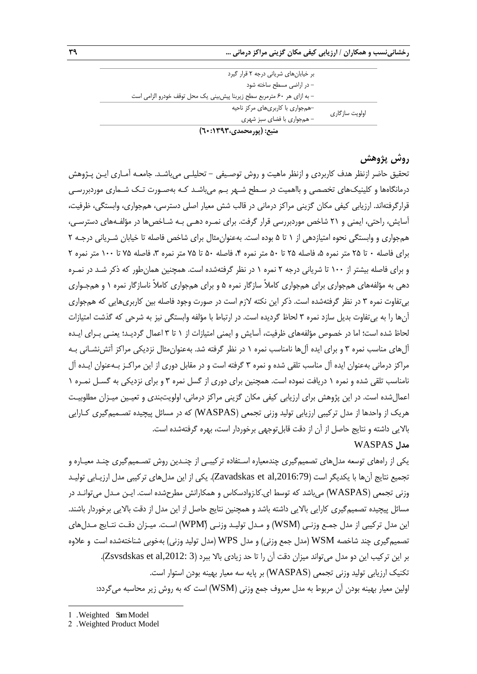|                | بر خیابانهای شریانی درجه ٢ قرار گیرد                                     |
|----------------|--------------------------------------------------------------------------|
|                | - در اراضی مسطح ساخته شود                                                |
|                | - به ازای هر ۶۰ مترمربع سطح زیربنا پیش بینی یک محل توقف خودرو الزامی است |
|                | -همجواری با کاربریهای مرکز ناحیه                                         |
| اولويت سازگارى | - همجواري با فضاى سبز شهرى                                               |
|                | منبع: (پورمحمدی، ۱۳۹۳: ۲۰)                                               |

**روش پژوهش**

تحقیق حاضر ازنظر هدف کاربردی و ازنظر ماهیت و روش توصـیفی - تحلیلـی میباشـد. جامعـه آمـاری ایـن پـژوهش درمانگاهها و کلینیکهای تخصصی و بااهمیت در سـطح شـهر بـم میباشـد کـه بهصـورت تـک شـماری موردبررسـی قرارگرفتهاند. ارزیابی کیفی مکان گزینی مراکز درمانی در قالب شش معیار اصلی دسترسی، همجواری، وابستگی، ظرفیت، آسایش، راحتی، ایمنی و 21 شاخص موردبررسی قرار گرفت. برای نمـره دهـی بـه شـاخصها در مؤلفـههای دسترسـی، همجواری و وابستگی نحوه امتیازدهی از 1 تا 5 بوده است. بهعنوانمثال برای شاخص فاصله تا خیابان شـریانی درجـه 2 برای فاصله • تا ۲۵ متر نمره ۵، فاصله ۲۵ تا ۵۰ متر نمره ۴، فاصله ۵۰ تا ۷۵ متر نمره ۳، فاصله ۷۵ تا ۱۰۰ متر نمره ۲ و برای فاصله بیشتر از 100 تا شریانی درجه 2 نمره 1 در نظر گرفتهشده است. همچنین همانطور که ذکر شـد در نمـره دهی به مؤلفههای همجواری برای همجواری کامالً سازگار نمره 5 و برای همجواری کامالً ناسازگار نمره 1 و همجـواری بیتفاوت نمره 3 در نظر گرفتهشده است. ذکر این نکته الزم است در صورت وجود فاصله بین کاربریهایی که همجواری آنها را به بیتفاوت بدیل سازد نمره 3 لحاظ گردیده است. در ارتبا با مؤلفه وابستگی نیز به شرحی که گذشت امتیازات لحاظ شده است؛ اما در خصوص مؤلفههای ظرفیت، آسایش و ایمنی امتیازات از 1 تا 3 اعمال گردیـد؛ یعنـی بـرای ایـده آلهای مناسب نمره 3 و برای ایده آلها نامناسب نمره 1 در نظر گرفته شد. بهعنوانمثال نزدیکی مراکز آتشنشـانی بـه مراکز درمانی بهعنوان ایده آل مناسب تلقی شده و نمره 3 گرفته است و در مقابل دوری از این مراکـز بـهعنوان ایـده آل نامناسب تلقی شده و نمره 1 دریافت نموده است. همچنین برای دوری از گسل نمره 3 و برای نزدیکی به گسـل نمـره 1 اعمالشده است. در این پژوهش برای ارزیابی کیفی مکان گزینی مراکز درمانی، اولویتبندی و تعیـین میـزان مطلوبیـت هریک از واحدها از مدل ترکیبی ارزیابی تولید وزنی تجمعی )WASPAS )که در مسائل پیچیده تصـمیمگیری کـارایی باالیی داشته و نتایج حاصل از آن از دقت قابلتوجهی برخوردار است، بهره گرفتهشده است. **مدل** WASPAS

یکی از راههای توسعه مدلهای تصمیمگیری چندمعیاره اسـتفاده ترکیبـی از چنـدین روش تصـمیمگیری چنـد معیـاره و تجمیع نتایج آنها با یکدیگر است (Zavadskas et al,2016:79). یکی از این مدلهای ترکیبی مدل ارزیـابی تولیـد وزنی تجمعی (WASPAS) میباشد که توسط ای.کا.زوادسکاس و همکارانش مطرحشده است. ایـن مـدل میتوانـد در مسائل پیچیده تصمیمگیری کارایی باالیی داشته باشد و همچنین نتایج حاصل از این مدل از دقت باالیی برخوردار باشند. ین مدل ترکیبی از مدل جمـع وزنـی (WSM) و مـدل تولیـد وزنـی (WPM) اسـت. میـزان دقـت نتـایج مـدلهای تصمیمگیری چند شاخصه WSM (مدل جمع وزنی) و مدل WPS (مدل تولید وزنی) بهخوبی شناختهشده است و علاوه بر این ترکیب این دو مدل میتواند میزان دقت آن را تا حد زیادی بالا ببرد (Zsvsdskas et al,2012: 3). تکنیک ارزیابی تولید وزنی تجمعی )WASPAS )بر پایه سه معیار بهینه بودن استوار است. اولین معیار بهینه بودن آن مربوط به مدل معروف جمع وزنی (WSM) است که به روش زیر محاسبه میگردد:

1

<sup>1</sup> . Weighted Sum Model

<sup>2</sup> . Weighted Product Model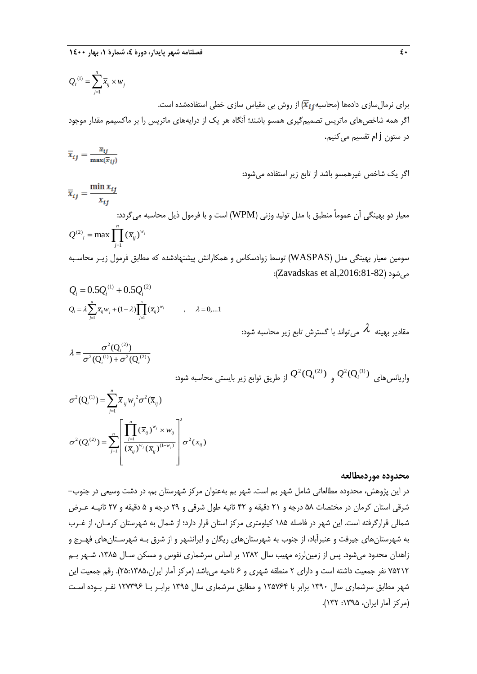$$
Q_I^{(1)} = \sum_{j=1}^n \overline{x}_{ij} \times w_j
$$
برای نرمالسازی دادهها (محاسبه  $\overline{X}_{ij}$ از روش بی مقیاس سازی خطی استفادهشده است.  
اگر همه شاخصهای ماتریس تصمیمگیری همسو باشند؛ آنگاه هر یک از درایههای ماتریس را بر ماکسیمم مقدار موجود اور ستون **ز** ام تقسیم میکنیم.

$$
\overline{x}_{ij} = \frac{\overline{x}_{ij}}{\max(\overline{x}_{ij})}
$$

اگر یک شاخص ریرهمسو باشد از تابع زیر استفاده میشود:

$$
\overline{x}_{ij} = \frac{\min x_{ij}}{x_{ij}}
$$
\n
$$
Q^{(2)}_i = \max \prod_{j=1}^n (\overline{x}_{ij})^{w_j}
$$
\n
$$
\text{A}^{(2)} = \max \prod_{j=1}^n (\overline{x}_{ij})^{w_j}
$$

سومین معیار بهینگی مدل (WASPAS) توسط زوادسکاس و همکارانش پیشنهادشده که مطابق فرمول زیـر محاسـبه :)Zavadskas et al,2016:81-82( میشود

$$
Q_i = 0.5Q_i^{(1)} + 0.5Q_i^{(2)}
$$
  
\n
$$
Q_i = \lambda \sum_{j=1}^n \overline{x}_{ij} w_j + (1 - \lambda) \prod_{j=1}^n (\overline{x}_{ij})^{w_j} \qquad , \quad \lambda = 0,...1
$$

مقادیر بهینه 
$$
\lambda
$$
 میتواند با گسترش تابع زیر محاسبه شود:

$$
\lambda = \frac{\sigma^2(Q_i^{(2)})}{\sigma^2(Q_i^{(1)}) + \sigma^2(Q_i^{(2)})}
$$

واریانس $\mathcal{Q}^2(\mathsf{Q}^{(1)}_i)$  و  $\mathcal{Q}^2(\mathsf{Q}^{(2)}_i)$  از طریق توابع زیر بایستی محاسبه شود:

$$
\sigma^{2}(Q_{i}^{(1)}) = \sum_{j=1}^{n} \overline{x}_{ij} w_{j}^{2} \sigma^{2}(\overline{x}_{ij})
$$

$$
\sigma^{2}(Q_{i}^{(2)}) = \sum_{j=1}^{n} \left[ \frac{\prod_{j=1}^{n} (\overline{x}_{ij})^{w_{j}} \times w_{ij}}{(\overline{x}_{ij})^{w_{j}} (\overline{x}_{ij})^{(1-w_{j})}} \right] \sigma^{2}(x_{ij})
$$

### **محدوده موردمطالعه**

در این پژوهش، محدوده مطالعاتی شامل شهر بم است. شهر بم بهعنوان مرکز شهرستان بم، در دشت وسیعی در جنوب- شرقی استان کرمان در مختصات 58 درجه و 21 دقیقه و 42 ثانیه طول شرقی و 29 درجه و 5 دقیقه و 27 ثانیـه عـر شمالی قرارگرفته است. این شهر در فاصله 185 کیلومتری مرکز استان قرار دارد؛ از شمال به شهرستان کرمـان، از رـرب به شهرستانهای جیرفت و عنبرآباد، از جنوب به شهرستانهای ریگان و ایرانشهر و از شرق بـه شهرسـتانهای فهـرج و زاهدان محدود میشود. پس از زمینلرزه مهیب سال 1382 بر اساس سرشماری نفوس و مسکن سـال ،1385 شـهر بـم 75212 نفر جمعیت داشته است و دارای 2 منطقه شهری و 6 ناحیه میباشد )مرکز آمار ایران25:1385،(. رقم جمعیت این شهر مطابق سرشماری سال 1390 برابر با 125764 و مطابق سرشماری سال 1395 برابـر بـا 127396 نفـر بـوده اسـت )مرکز آمار ایران، :1395 132(.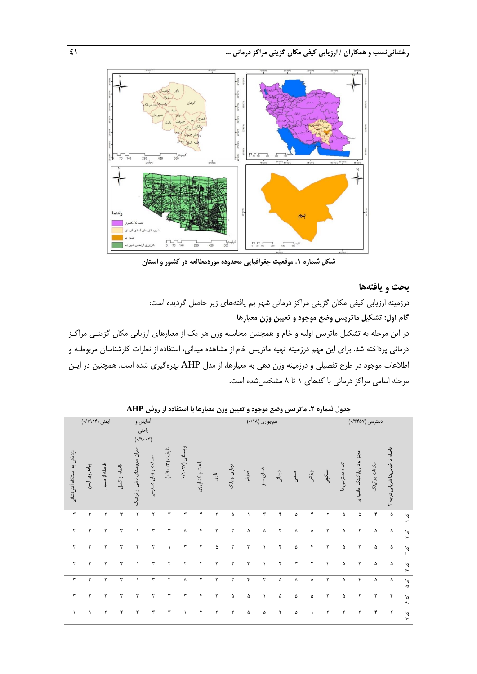

**شکل شماره .1 موقعیت جغرافیایی محدوده موردمطالعه در کشور و استان**

## **بحث و یافتهها**

درزمینه ارزیابی کیفی مکان گزینی مراکز درمانی شهر بم یافتههای زیر حاصل گردیده است: **گام اول: تشکیل ماتریس وضع موجود و تعیین وزن معیارها** در این مرحله به تشکیل ماتریس اولیه و خام و همچنین محاسبه وزن هر یک از معیارهای ارزیابی مکان گزینـی مراکـز درمانی پرداخته شد. برای این مهم درزمینه تهیه ماتریس خام از مشاهده میدانی، استفاده از نظرات کارشناسان مربوطـه و

اطالعات موجود در طرح تفصیلی و درزمینه وزن دهی به معیارها، از مدل AHP بهرهگیری شده است. همچنین در ایـن مرحله اسامی مراکز درمانی با کدهای 1 تا 8 مشخصشده است.

|                             |                |                      |              |                                                         |                     |                      |                 | - •                  |       |                      |           |                |        | , _ ., |           | $\overline{\phantom{a}}$ |                       |                           |                      |                                  |                                                |
|-----------------------------|----------------|----------------------|--------------|---------------------------------------------------------|---------------------|----------------------|-----------------|----------------------|-------|----------------------|-----------|----------------|--------|--------|-----------|--------------------------|-----------------------|---------------------------|----------------------|----------------------------------|------------------------------------------------|
|                             | ایمنی (۱۹۱۴/۰) |                      |              | أسايش و<br>راحتي<br>$(\cdot/\mathbf{q}\cdot\mathbf{r})$ |                     |                      |                 |                      |       |                      |           | همجواري (١٨/٠) |        |        |           |                          |                       |                           | دسترسی (۰/۳۴۵۷)      |                                  |                                                |
| نزدیکی به ایستگاه آتش نشانی | پیادهروی ایمن  | فاصله از مسیل        | فاصله از گسل | میزان سروصدای ناشی از ترافیک                            | مسافت و زمان دسترسی | ظرفیت (۳۰۰۳).        | وابستگی (۲۷۰۲۷) | باغات و كشاورزى      | اداری | تجارى و بانک         | أموزشى    | فضای سبز       | درمانی | صنعتی  | ورزشى     | مسكونى                   | تعداد دسترسى ها       | مجاز بودن پارکینگ حاشیعای | امكانات پاركينگ      | فاصله تا خیابان ها شریانی درجه ۲ |                                                |
| ٣                           | ٣              | ٣                    | ٣            | $\mathbf{\tau}$                                         | ٢                   | $\mathbf{r}$         | ٣               | ۴                    | ٣     | ۵                    | $\lambda$ | ٣              | ۴      | ۵      | ۴         | ٢                        | ۵                     | ۵                         | ۴                    | ۵                                | $\mathcal{A}$<br>∽                             |
| ٢                           | $\mathbf r$    | $\mathbf{\breve{r}}$ | $\mathbf{r}$ | $\lambda$                                               | ٣                   | $\mathbf{r}$         | ۵               | ۴                    | ٣     | $\mathbf{\breve{r}}$ | ۵         | ۵              | ٣      | ۵      | ۵         | ٣                        | ۵                     | ٢                         | ۵                    | ۵                                | $\sim$<br>$\mathbf{r}$                         |
| $\mathbf r$                 | $\mathbf{r}$   | ٣                    | ٣            | ٢                                                       | ٢                   | $\lambda$            | ٣               | $\mathbf{\breve{r}}$ | ۵     | $\mathbf{\breve{r}}$ | ٣         | $\lambda$      | ۴      | ۵      | ۴         | ٣                        | ۵                     | ٣                         | ۵                    | ۵                                | $\boldsymbol{\zeta}$<br>$\mathbf{L}$           |
| ٢                           | ٣              | ٣                    | $\mathbf{r}$ | $\lambda$                                               | ٣                   | $\mathbf{\breve{v}}$ | ۴               | ۴                    | ٣     | $\mathbf{\breve{r}}$ | ٣         | $\lambda$      | ۴      | ٣      | ٢         | ۴                        | ۵                     | ٣                         | ۵                    | ۵                                | $\sim$<br>عو                                   |
| $\mathbf{\breve{r}}$        | ٣              | ٣                    | ٣            | $\lambda$                                               | ٣                   | ٢                    | ۵               | ٢                    | ٣     | ٣                    | ۴         | ٢              | ۵      | ۵      | ۵         | ٣                        | ۵                     | ۴                         | ۵                    | ۵                                | $\sim$<br>$\mathrel{\mathsf{\scriptstyle{G}}}$ |
| $\mathbf{r}$                | $\mathbf r$    | ٣                    | ٣            | ٣                                                       | ٢                   | ٣                    | ٣               | ۴                    | ٣     | ۵                    | ۵         | $\lambda$      | ۵      | ۵      | ۵         | ٣                        | ۵                     | $\mathbf{\mathsf{y}}$     | $\mathbf{\tilde{r}}$ | ۴                                | $\sim$<br>$\pmb{\alpha}$                       |
| $\lambda$                   | $\lambda$      | ٣                    | ٢            | ٣                                                       | ٣                   | ٣                    | $\lambda$       | ٣                    | ٣     | $\mathbf{\breve{r}}$ | ۵         | ۵              | ٢      | ۵      | $\lambda$ | ٣                        | $\mathbf{\mathsf{y}}$ | ٣                         | $\mathfrak{f}$       | ٢                                | کد ۷                                           |

**جدول شماره .2 ماتریس وضع موجود و تعیین وزن معیارها با استفاده از روش AHP**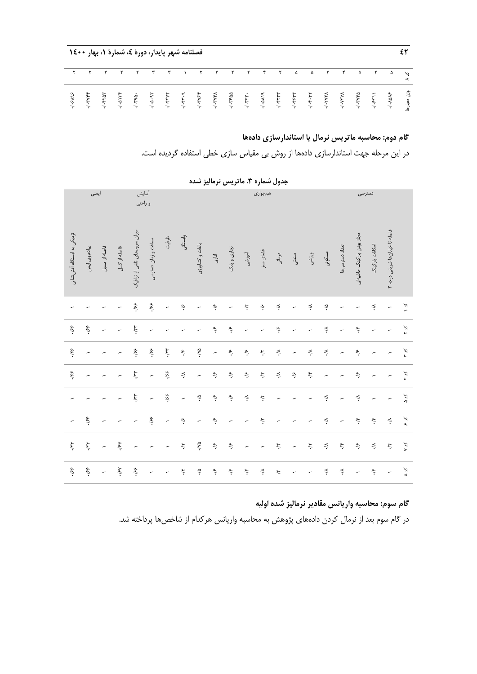|  |  |  |                           | فصلنامه شهر پایدار، دورهٔ ٤، شمارهٔ ۱، بهار ۱٤٠٠                                                                                                                                                                                                                         |  |  |  |          |                           |          |          |               |
|--|--|--|---------------------------|--------------------------------------------------------------------------------------------------------------------------------------------------------------------------------------------------------------------------------------------------------------------------|--|--|--|----------|---------------------------|----------|----------|---------------|
|  |  |  | $\mathbf{r}$ $\mathbf{r}$ | ITTTTTFT &                                                                                                                                                                                                                                                               |  |  |  | $\Delta$ | $\mathbf{r}$ $\mathbf{r}$ | $\Delta$ | $\Delta$ | $\mathcal{L}$ |
|  |  |  |                           | $3.5035$<br>$3.5035$<br>$3.5035$<br>$3.5035$<br>$3.5035$<br>$3.5035$<br>$3.5035$<br>$3.5035$<br>$3.5035$<br>$3.5035$<br>$3.5035$<br>$3.5035$<br>$3.5035$<br>$3.5035$<br>$3.5035$<br>$3.5035$<br>$3.5035$<br>$3.5035$<br>$3.5035$<br>$3.5035$<br>$3.5035$<br>$3.5035$<br> |  |  |  |          |                           |          |          |               |

## **گام دوم: محاسبه ماتریس نرمال یا استاندارسازی دادهها**

در این مرحله جهت استاندارسازی دادهها از روش بی مقیاس سازی خطی استفاده گردیده است.

|                             | ايمنى               |                          |                | أسايش                        | و راحتي                  |                          |                                   |                          |                                 |                                 |                                  | همجوارى                        |                                 |                                |                                  |                                  |                                  |                                 | دسترسى                           |                                   |                          |
|-----------------------------|---------------------|--------------------------|----------------|------------------------------|--------------------------|--------------------------|-----------------------------------|--------------------------|---------------------------------|---------------------------------|----------------------------------|--------------------------------|---------------------------------|--------------------------------|----------------------------------|----------------------------------|----------------------------------|---------------------------------|----------------------------------|-----------------------------------|--------------------------|
| نزدیکی به ایستگاه آتش نشانی | پیادهروی ایمن       | فاصله از مسيل            | فاصله از گسل   | میزان سروصدای ناشی از ترافیک | مسافت و زمان دسترسی      | ظرفيت                    | وابستگى                           | باغات و كشاورزى          | اداری                           | تجارى و بانک                    | أموزشى                           | فضای سبز                       | درمانی                          | صنغتى                          | ورزشى                            | مسكونى                           | تعداد دسترسىها                   | مجاز بودن پارکینگ حاشیهای       | امکانات پارکینگ                  | فاصله تا خیابان ها شریانی درجه ۲  |                          |
|                             |                     |                          |                | $\frac{1}{2}$                | $\dot{\mathcal{S}}$      | $\overline{\phantom{a}}$ | $\dot{\widetilde{\mathscr{C}}}$   | $\overline{\phantom{a}}$ | $\dot{\widetilde{\mathscr{C}}}$ | $\overline{\phantom{a}}$        | $\dot{\zeta}$                    | $\dot{\widetilde{\mathbf{z}}}$ | $\stackrel{\textstyle<}{\cdot}$ | $\overline{a}$                 | $\stackrel{\textstyle <}{\cdot}$ | $\widetilde{\mathcal{C}}$ .      | $\overline{\phantom{a}}$         | $\overline{a}$                  | $\stackrel{\textstyle<}{\cdot}$  | $\overline{\phantom{a}}$          | $\tilde{\mathcal{K}}$    |
| $\frac{1}{25}$ .            | $\dot{\mathcal{S}}$ | $\overline{a}$           |                | $\star \lambda$ .            | $\overline{a}$           |                          | $\overline{a}$                    | ÷                        | $\dot{\widetilde{\mathcal{C}}}$ | $\dot{\widetilde{\mathcal{C}}}$ | $\overline{a}$                   | $\overline{a}$                 | $\dot{\widetilde{\mathbf{v}}}$  | $\overline{a}$                 | $\overline{a}$                   | $\stackrel{\textstyle <}{\cdot}$ | $\overline{a}$                   | $\check{\mathbf{r}}$            | $\overline{a}$                   |                                   | $\frac{1}{\lambda}$      |
| -198                        | $\overline{a}$      |                          |                | $\dot{\mathcal{S}}$          | -198                     | ik/.                     | $\dot{\widetilde{\sigma}}$        | ۰/۷۵                     | $\overline{a}$                  | $\dot{\widetilde{\mathbf{z}}}$  | $\dot{\widetilde{\mathcal{C}}}$  | $\dot{\preceq}$                | $\stackrel{\textstyle<}{\cdot}$ | $\overline{a}$                 | $\breve{\div}$                   | $\stackrel{\textstyle <}{\cdot}$ | $\overline{a}$                   | $\dot{\widetilde{\mathcal{C}}}$ | $\overline{a}$                   | $\overline{\phantom{a}}$          | $\frac{\kappa}{\lambda}$ |
| $\frac{1}{25}$ .            | $\overline{a}$      |                          |                | $\star \lambda$ .            | $\overline{\phantom{a}}$ | -198                     | $\stackrel{\textstyle _<}{\cdot}$ | $\overline{\phantom{a}}$ | $\dot{\widetilde{\mathbf{z}}}$  | $\dot{\tilde{\mathbf{z}}}$      | $\dot{\widetilde{\mathcal{C}}}$  | $\dot{\preceq}$                | $\stackrel{\textstyle<}{\cdot}$ | $\dot{\widetilde{\mathbf{v}}}$ | $\check{\star}$                  | $\overline{a}$                   | $\overline{a}$                   | $\dot{\widetilde{\mathcal{C}}}$ | $\overline{a}$                   | $\overline{a}$                    | کر ع                     |
|                             |                     |                          |                | $\lambda\lambda/$ .          | $\overline{a}$           | $\dot{\mathcal{S}}$      | $\overline{a}$                    | $\dot{\mathbb{S}}$       | $\dot{\widetilde{\mathbf{v}}}$  | $\dot{\tilde{\mathbf{z}}}$      | $\stackrel{\textstyle <}{\cdot}$ | $\vec{\star}$                  | $\overline{\phantom{a}}$        |                                | $\overline{a}$                   | $\stackrel{\textstyle <}{\cdot}$ | $\overline{a}$                   | $\stackrel{\textstyle<}{\cdot}$ | r,                               | $\overline{a}$                    | کد ۵                     |
| $\overline{a}$              | $\dot{\mathbf{z}}$  | $\overline{a}$           | $\overline{a}$ | $\overline{a}$               | $\dot{\mathcal{S}}$      | $\overline{a}$           | $\dot{\widetilde{\mathcal{C}}}$   | $\overline{a}$           | $\dot{\widetilde{\mathscr{C}}}$ | $\overline{a}$                  | $\overline{a}$                   | $\dot{\mathcal{L}}$            | $\overline{a}$                  | $\overline{a}$                 |                                  | $\stackrel{\textstyle<}{\cdot}$  | $\overline{a}$                   | $\check{\star}$                 | $\check{\star}$                  | $\stackrel{\textstyle _<}{\cdot}$ | کد ع                     |
| $\star_{\mathcal{A}}$ .     | $\ddot{x}$          | $\overline{a}$           | ۱۶٧.           | $\overline{a}$               | $\overline{a}$           | $\overline{a}$           | $\dot{\gamma}$                    | ۰Ņ.                      | $\dot{\tilde{\mathbf{z}}}$      | $\dot{\tilde{\epsilon}}$        | $\overline{a}$                   | $\overline{a}$                 | $\stackrel{\circ}{\sim}$        | $\overline{a}$                 | $\zeta$                          | $\stackrel{\textstyle <}{\cdot}$ | $\star$                          | $\dot{\tilde{\mathbf{z}}}$      | $\stackrel{\textstyle <}{\cdot}$ | $\star$                           | Σ λ                      |
| $\dot{\mathcal{S}}$         | $\dot{\mathcal{S}}$ | $\overline{\phantom{a}}$ | ۸ś/.           | $\dot{\mathcal{S}}$          | $\overline{a}$           |                          | $\dot{\preceq}$                   | $\tilde{\mathcal{C}}$    | $\ddot{\tilde{\mathbf{z}}}$     | $\stackrel{\circ}{\cdot}$       | $\stackrel{\circ}{\sim}$         | $\preceq$                      | $\tilde{\mathbf{r}}$            | $\overline{a}$                 |                                  | $\stackrel{\textstyle <}{\cdot}$ | $\stackrel{\textstyle <}{\cdot}$ | $\overline{\phantom{a}}$        | $\stackrel{\circ}{\sim}$         | $\overline{\phantom{a}}$          | メメ                       |

**جدول شماره .3 ماتریس نرمالیز شده**

**گام سوم: محاسبه واریانس مقادیر نرمالیز شده اولیه**

در گام سوم بعد از نرمال کردن دادههای پژوهش به محاسبه واریانس هرکدام از شاخصها پرداخته شد.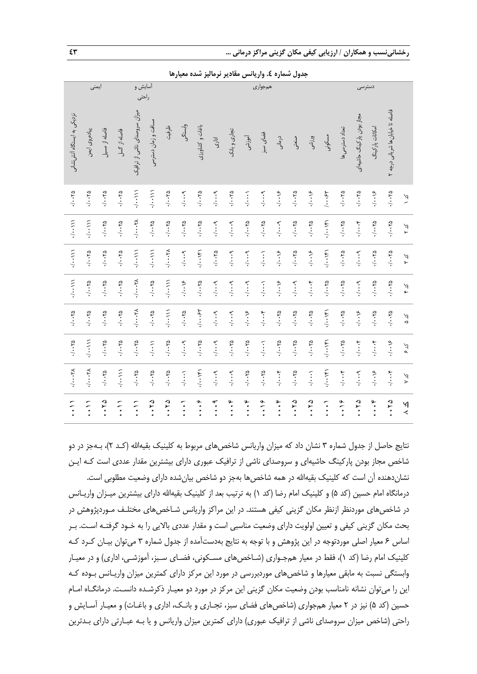|                             | ايمنى                    |                                 |                          | أسايش و<br>راحتى                    |                                 |                                 |                               |                                   |                          |                             |                                   | همجوارى                     |                                   |                                   |                                 |                 |                                 | دسترسى                      |                             |                                  |               |
|-----------------------------|--------------------------|---------------------------------|--------------------------|-------------------------------------|---------------------------------|---------------------------------|-------------------------------|-----------------------------------|--------------------------|-----------------------------|-----------------------------------|-----------------------------|-----------------------------------|-----------------------------------|---------------------------------|-----------------|---------------------------------|-----------------------------|-----------------------------|----------------------------------|---------------|
| نزدیکی به ایستگاه آتش نشانی | پیادہروی ایمن            | فاصله از مسيل                   | فاصله از گسل             | میزان سروصدای ناشی از ترافیک        | مسافت و زمان دسترسی             | ظرفيت                           | وابستگى                       | باغات و كشاورزى                   | اداری                    | تجارى و بانک                | أموزشى                            | فضای سبز                    | درمانی                            | صنعتی                             | ورزشى                           | مسكونى          | تعداد دسترسى ها                 | مجاز بودن پارکینگ حاشیهای   | امکانات پارکینگ             | فاصله تا خیابان ها شریانی درجه ۲ |               |
| $\cdot/\cdot\cdot\tau$ ۵    | $\cdot/\cdot\cdot\gamma$ | $\sqrt{1 + Y\Delta}$            | $\sqrt{1-\gamma}$        | $\cdot$ / $\cdot$ \)                | (11)                            | $\sqrt{1 + Y\Delta}$            | $\cdot/\cdots$ 9              | $\sqrt{1 + Y\Delta}$              | $\cdot/\cdots$ 9         | $\sqrt{1.70}$               | $\cdot$ , $\cdot$ , $\cdot$       | $\cdot/\cdots$ 9.           | $\cdot$ / $\cdot \cdot \cdot$     | $-\sqrt{1-\gamma}$                | $\cdot$                         | $\cdots$ ۶۳     | $\cdot/\cdot\cdot\gamma$        | $\sqrt{1 + Y\Delta}$        | $\cdot$                     | $\sqrt{1 + Y\Delta}$             | $\zeta$       |
| $\cdot$                     | (1, 1)                   | $\sqrt{1} \cdot \cdot \sqrt{2}$ | $\sqrt{1.70}$            | $\cdot/\cdots\gamma$                | $\sqrt{1} \cdot \cdot \sqrt{2}$ | $\sqrt{1} \cdot \cdot \sqrt{2}$ | $Y \cdot \cdot \cdot Y$       | $\cdot/\cdot\cdot\gamma$          | $\cdot/\cdots$ ٩         | $\cdot/\cdots$ 9            | $\cdot/\cdot\cdot\gamma$ ۵        | $\cdot/\cdot\cdot\gamma$    | $\cdot/\cdots$ ٩                  | $-1.70$                           | 2.1.1                           | 141.41.         | $\sqrt{1.70}$                   | $\cdot$ ,                   | $Y \cdot \cdot \cdot Y$     | $\sqrt{1} \cdot \cdot \sqrt{2}$  | ダイ            |
| (1,1)                       | $\sqrt{1.70}$            | $\sqrt{1} \cdot \cdot \sqrt{2}$ | $\sqrt{1.70}$            | 11.111                              | $(11 - 1)$                      | $\lambda$                       | .44                           | $1 + 1 + 1$                       | $\cdot/\cdot\cdot\tau$ ۵ | $\cdot/\cdots$ 9.           | $\cdot$ , $\cdot$ , $\cdot$       | $\cdot$ , $\cdot$ , $\cdot$ | $\cdot$                           | $\cdot/\cdot\cdot\gamma_{\Delta}$ | $\cdot$                         | .141161         | $\sqrt{1 + Y\Delta}$            | $\cdot/\cdots$ 9            | $\sqrt{1 + Y\Delta}$        | 21.11                            | とよ            |
| 11.11                       | $\sqrt{1.70}$            | $01 - 10$                       | $\sqrt{1.70}$            | $\cdot$ / $\cdot$ $\cdot$ . $\cdot$ | 21.11                           | (1,1)                           | $\cdot$ / $\cdot$ $\cdot$     | $Y \cdot \cdot \cdot \cdot \cdot$ | $\cdot/\cdots$ 9         | $\cdot/\cdots$ 9            | $\cdot/\cdots$ 9.                 | $\cdot$ / $\cdot$ .         | $\cdot$ / $\cdot\cdot\cdot$       | $\cdot/\cdots$ 9                  | $\cdot$ ,                       | $\sqrt{1.70}$   | $\sqrt{1.70}$                   | $\cdot/\cdots$ 9            | $Y - Y_0$                   | 21.11                            | کر ع          |
| 4.1.70                      | $\sqrt{1.70}$            | $\sqrt{1} \cdot \cdot \sqrt{2}$ | $01 - 1$                 | $\lambda$                           | $01 - 170$                      | $1 - 111$                       | $01 - 170$                    | $\cdot$ , $\cdot \cdot \cdot$     | $\cdot/\cdots$ 9         | .19                         | $\cdot$                           | $\cdot$ ,                   | $\sqrt{1} \cdot \cdot \sqrt{2}$   | $Y \cdot \cdot \cdot Y$           | $\sqrt{1} \cdot \cdot \sqrt{2}$ | $1 + 1 + 1$     | $\sqrt{1} \cdot \cdot \sqrt{2}$ | $\cdot$ / $\cdot\cdot\cdot$ | $\sqrt{1.70}$               | $\sqrt{1} \cdot \cdot \sqrt{2}$  | $\frac{2}{3}$ |
| $\cdot/\cdot\cdot\tau$ ۵    | $\cdot$ / $\cdot$        | 24.1.1                          | $\cdot/\cdot\cdot\gamma$ | $\cdot/\cdot\cdot\gamma$            | $\cdot$                         | $\sqrt{1} \cdot \cdot \sqrt{2}$ | $\cdot/\cdots$ 9.             | $\sqrt{1 + Y\Delta}$              | $\cdot/\cdots$ 9.        | 21.11                       | $\sqrt{1 + Y\Delta}$              | $\cdot$ , $\cdot$ , $\cdot$ | $\sqrt{1 + Y\Delta}$              | $\cdot/\cdot\cdot\gamma_{\Delta}$ | 2.1.1                           | $1 + 1 + 1 + 1$ | $\sqrt{1 + Y\Delta}$            | $\cdot$ ,                   | $\cdot$ , $\cdot$ , $\cdot$ | $\cdot$                          | とく            |
| $\cdot/\cdots\gamma$        | $\cdot/\cdots\tau$       | 21.11                           | (1, 1)                   | $\sqrt{1.70}$                       | $\sqrt{1.70}$                   | $01 - 170$                      | $\cdot$ , $\cdot$ , $\cdot$ , | $1 + 1 + 1$                       | $\cdot/\cdots$ 9         | $. \cdot \cdot \cdot \cdot$ | $\sqrt{1.70}$                     | $\sqrt{1.70}$               | $\cdot$ ,                         | $\cdot/\cdot\cdot\gamma$          | $\cdot/\cdots$                  | $-1.191$        | $\cdot/\cdots$                  | $\cdot/\cdots$ 9            | $\cdot$                     | $\cdot$ ,                        | $\frac{1}{2}$ |
| $\ddot{\cdot}$              | $\frac{1}{2}$            | 21.74                           | $\ddot{\cdot}$           | $\ddot{\cdot}$                      | .70                             | .70                             | $\ddot{\cdot}$                | $\ddot{\phantom{0}}$              | $\ddot{\cdot}$           | $\ddot{\cdot}$              | $\ddot{\cdot} \cdot \ddot{\cdot}$ | $\cdot \cdot \cdot$         | $\ddot{\cdot} \cdot \ddot{\cdot}$ | 21.72                             | .70                             | $\vdots$        | $\cdot \cdot \cdot$             | 21.74                       | $\ddot{\cdot}$              | .70                              | $\geq$        |

**جدول شماره .4 واریانس مقادیر نرمالیز شده معیارها**

نتایج حاصل از جدول شماره ۳ نشان داد که میزان واریانس شاخصهای مربوط به کلینیک بقیهالله (کـد ۲)، بـهجز در دو شاخص مجاز بودن پارکینگ حاشیهای و سروصدای ناشی از ترافیک عبوری دارای بیشترین مقدار عددی است کـه ایـن نشاندهنده آن است که کلینیک بقیهالله در همه شاخص ها بهجز دو شاخص بیان شده دارای وضعیت مطلوبی است. درمانگاه امام حسین (کد ۵) و کلینیک امام رضا (کد ۱) به ترتیب بعد از کلینیک بقیهالله دارای بیشترین میـزان واریـانس در شاخصهای موردنظر ازنظر مکان گزینی کیفی هستند. در این مراکز واریانس شـاخصهای مختلـف مـوردپژوهش در بحث مکان گزینی کیفی و تعیین اولویت دارای وضعیت مناسبی است و مقدار عددی بالایی را به خـود گرفتـه اسـت. بـر اساس 6 معیار اصلی موردتوجه در این پژوهش و با توجه به نتایج بهدستآمده از جدول شماره 3 میتوان بیـان کـرد کـه کلینیک امام رضا (کد ۱)، فقط در معیار همجـواری (شـاخصهای مسـکونی، فضـای سـبز، آموزشـی، اداری) و در معیـار وابستگی نسبت به مابقی معیارها و شاخصهای موردبررسی در مورد این مرکز دارای کمترین میزان واریـانس بـوده کـه این را میتوان نشانه نامناسب بودن وضعیت مکان گزینی این مرکز در مورد دو معیـار ذکرشـده دانسـت. درمانگـاه امـام حسین (کد ۵) نیز در ۲ معیار همجواری (شاخصهای فضای سبز، تجـاری و بانـک، اداری و باغـات) و معیـار آسـایش و راحتی (شاخص میزان سروصدای ناشی از ترافیک عبوری) دارای کمترین میزان واریانس و یا بـه عبـارتی دارای بـدترین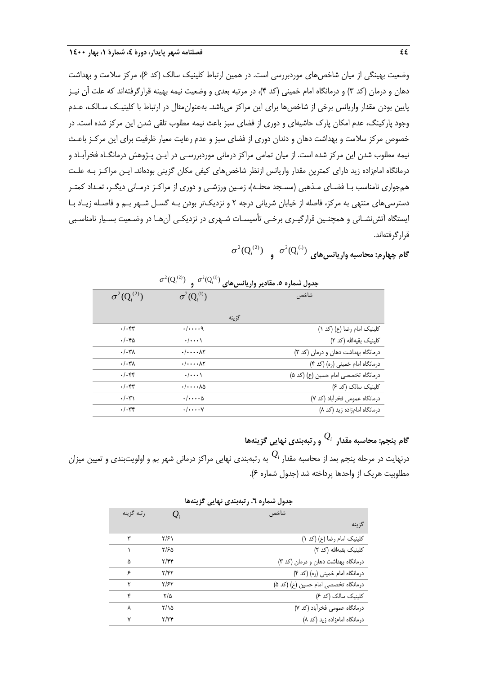وضعیت بهینگی از میان شاخص های موردبررسی است. در همین ارتباط کلینیک سالک (کد ۶)، مرکز سلامت و بهداشت دهان و درمان )کد 3( و درمانگاه امام خمینی )کد 4(، در مرتبه بعدی و وضعیت نیمه بهینه قرارگرفتهاند که علت آن نیـز پایین بودن مقدار واریانس برخی از شاخصها برای این مراکز میباشد. بهعنوانمثال در ارتبا با کلینیـک سـالک، عـدم وجود پارکینگ، عدم امکان پارک حاشیهای و دوری از فضای سبز باعث نیمه مطلوب تلقی شدن این مرکز شده است. در خصوص مرکز سالمت و بهداشت دهان و دندان دوری از فضای سبز و عدم رعایت معیار ظرفیت برای این مرکـز باعـ نیمه مطلوب شدن این مرکز شده است. از میان تمامی مراکز درمانی موردبررسـی در ایـن پـژوهش درمانگـاه فخرآبـاد و درمانگاه امامزاده زید دارای کمترین مقدار واریانس ازنظر شاخصهای کیفی مکان گزینی بودهاند. ایـن مراکـز بـه علـت همجواری نامناسب بـا فضـای مـذهبی (مسـجد محلـه)، زمـین ورزشـی و دوری از مراکـز درمـانی دیگـر، تعـداد کمتـر دسترسیهای منتهی به مرکز، فاصله از خیابان شریانی درجه 2 و نزدیکتر بودن بـه گسـل شـهر بـم و فاصـله زیـاد بـا ایستگاه آتشنشـانی و همچنـین قرارگیـری برخـی تأسیسـات شـهری در نزدیکـی آنهـا در وضـعیت بسـیار نامناسـبی قرارگرفتهاند.

 $\sigma^2(\mathrm{Q}_i^{(2)})$  و $\sigma^2(\mathrm{Q}_i^{(1)})$  و  $\sigma^2(\mathrm{Q}_i^{(2)})$  و

|                       | $\sigma^2(Q_i^{(2)})$ $\sigma^2(Q_i^{(1)})$ | جدول شماره ٥. مقادير واريانس هاي    |
|-----------------------|---------------------------------------------|-------------------------------------|
| $\sigma^2(Q_i^{(2)})$ | $\sigma^2(Q_i^{(1)})$                       | شاخص                                |
|                       |                                             |                                     |
|                       |                                             | گزينه                               |
| $.$ / $.$ ۴۳          | . / q                                       | كلينيك امام رضا (ع) (كد ١)          |
| $.$ / $.$ ۴۵          | $\cdot/\cdots$                              | كلينيك بقيهالله (كد ٢)              |
| $. / . r \lambda$     | $. / \wedge$                                | درمانگاه بهداشت دهان و درمان (کد ۳) |
| . / .7                | $. / \wedge$                                | درمانگاه امام خمینی (ره) (کد ۴)     |
| $.$ / $.$ ۴۴          | $\cdot/\cdots$                              | درمانگاه تخصصی امام حسین (ع) (کد ۵) |
| $.$ / $.$ ۴۳          | $\cdot/\cdot\cdot\cdot\lambda$              | کلینیک سالک (کد ۶)                  |
| $\cdot/\cdot$ ۳۱      | $\cdot/\cdot\cdot\cdot\Delta$               | درمانگاه عمومی فخرآباد (کد ۷)       |
| $.$ / $.$ ۳۴          | $\cdot/\cdots$ Y                            | درمانگاه امامزاده زید (کد ۸)        |

**گام پنجم: محاسبه مقدار**  *Qi* **و رتبهبندی نهایی گزینهها** درنهایت در مرحله پنجم بعد از محاسبه مقدار <sup>،Q</sup> به رتبهبندی نهایی مراکز درمانی شهر بم و اولویتبندی و تعیین میزان مطلوبیت هریک از واحدها پرداخته شد (جدول شماره ۶).

|            |                         | جدول شماره ٦. رتبهبندي نهايي گزينهها |
|------------|-------------------------|--------------------------------------|
| رتبه گزینه | $Q_i$                   | شاخص                                 |
|            |                         | گزينه                                |
| ٣          | ۲/۶۱                    | کلینیک امام رضا (ع) (کد ۱)           |
|            | ۲/۶۵                    | كلينيك بقيهالله (كد ٢)               |
| ۵          | $\mathbf{Y}/\mathbf{Y}$ | درمانگاه بهداشت دهان و درمان (کد ٣)  |
| ۶          | $Y/\mathfrak{f} Y$      | درمانگاه امام خمینی (ره) (کد ۴)      |
| ۲          | ۲/۶۲                    | درمانگاه تخصصی امام حسین (ع) (کد ۵)  |
| ۴          | ۲/۵                     | کلینیک سالک (کد ۶)                   |
| ٨          | ۲/۱۵                    | درمانگاه عمومی فخرآباد (کد ۷)        |
| ٧          | $\tau/\tau$             | درمانگاه امامزاده زید (کد ۸)         |

**جدول شماره .6 رتبهبندی نهایی گزینهها**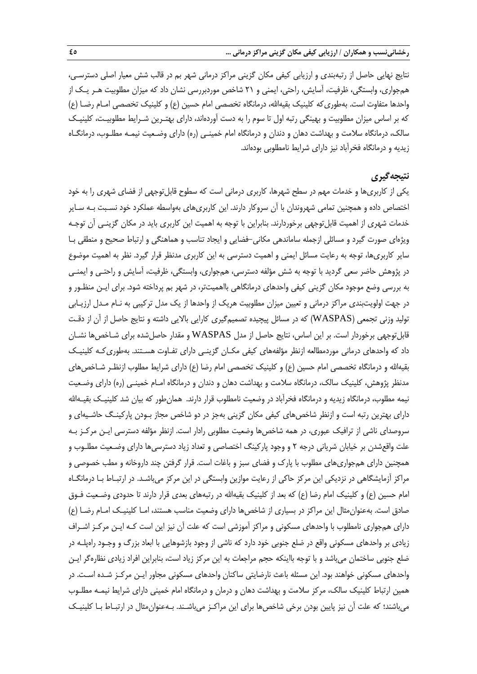نتایج نهایی حاصل از رتبهبندی و ارزیابی کیفی مکان گزینی مراکز درمانی شهر بم در قالب شش معیار اصلی دسترسـی، همجواری، وابستگی، ظرفیت، آسایش، راحتی، ایمنی و 21 شاخص موردبررسی نشان داد که میزان مطلوبیت هـر یـک از واحدها متفاوت است. بهطوری که کلینیک بقیهالله، درمانگاه تخصصی امام حسین (ع) و کلینیک تخصصی امـام رضـا (ع) که بر اساس میزان مطلوبیت و بهینگی رتبه اول تا سوم را به دست آوردهاند، دارای بهتـرین شـرایط مطلوبیـت، کلینیـک سالک، درمانگاه سالمت و بهداشت دهان و دندان و درمانگاه امام خمینـی )ره( دارای وضـعیت نیمـه مطلـوب، درمانگـاه زیدیه و درمانگاه فخرآباد نیز دارای شرایط نامطلوبی بودهاند.

## **نتیجهگیری**

یکی از کاربریها و خدمات مهم در سطح شهرها، کاربری درمانی است که سطوح قابلتوجهی از فضای شهری را به خود اختصاص داده و همچنین تمامی شهروندان با آن سروکار دارند. این کاربریهای بهواسطه عملکرد خود نسـبت بـه سـایر خدمات شهری از اهمیت قابلتوجهی برخوردارند. بنابراین با توجه به اهمیت این کاربری باید در مکان گزینـی آن توجـه ویژهای صورت گیرد و مسائلی ازجمله ساماندهی مکانی-فضایی و ایجاد تناسب و هماهنگی و ارتبا صحیح و منطقی بـا سایر کاربریها، توجه به رعایت مسائل ایمنی و اهمیت دسترسی به این کاربری مدنظر قرار گیرد. نظر به اهمیت موضوع در پژوهش حاضر سعی گردید با توجه به شش مؤلفه دسترسی، همجواری، وابستگی، ظرفیت، آسایش و راحتـی و ایمنـی به بررسی وضع موجود مکان گزینی کیفی واحدهای درمانگاهی بااهمیتتر، در شهر بم پرداخته شود. برای ایـن منظـور و در جهت اولویتبندی مراکز درمانی و تعیین میزان مطلوبیت هریک از واحدها از یک مدل ترکیبی به نـام مـدل ارزیـابی تولید وزنی تجمعی )WASPAS )که در مسائل پیچیده تصمیمگیری کارایی باالیی داشته و نتایج حاصل از آن از دقـت قابلتوجهی برخوردار است. بر این اساس، نتایج حاصل از مدل WASPAS و مقدار حاصلشده برای شـاخصها نشـان داد که واحدهای درمانی موردمطالعه ازنظر مؤلفههای کیفی مکـان گزینـی دارای تفـاوت هسـتند. بهطوریکـه کلینیـک بقیهالله و درمانگاه تخصصی امام حسین (ع) و کلینیک تخصصی امام رضا (ع) دارای شرایط مطلوب ازنظـر شـاخصهای مدنظر پژوهش، کلینیک سالک، درمانگاه سالمت و بهداشت دهان و دندان و درمانگاه امـام خمینـی )ره( دارای وضـعیت نیمه مطلوب، درمانگاه زیدیه و درمانگاه فخرآباد در وضعیت نامطلوب قرار دارند. همانطور که بیان شد کلینیـک بقیـهالله دارای بهترین رتبه است و ازنظر شاخصهای کیفی مکان گزینی بهجز در دو شاخص مجاز بـودن پارکینـگ حاشـیهای و سروصدای ناشی از ترافیک عبوری، در همه شاخصها وضعیت مطلوبی رادار است. ازنظر مؤلفه دسترسی ایـن مرکـز بـه علت واقعشدن بر خیابان شریانی درجه 2 و وجود پارکینگ اختصاصی و تعداد زیاد دسترسیها دارای وضـعیت مطلـوب و همچنین دارای همجواریهای مطلوب با پارك و فضای سبز و بارات است. قرار گرفتن چند داروخانه و مطب خصوصی و مراکز آزمایشگاهی در نزدیکی این مرکز حاکی از رعایت موازین وابستگی در این مرکز میباشـد. در ارتبـا بـا درمانگـاه امام حسین (ع) و کلینیک امام رضا (ع) که بعد از کلینیک بقیهالله در رتبههای بعدی قرار دارند تا حدودی وضـعیت فـوق صادق است. بهعنوانمثال این مراکز در بسیاری از شاخصها دارای وضعیت مناسب هستند، امـا کلینیـک امـام رضـا )ع( دارای همجواری نامطلوب با واحدهای مسکونی و مراکز آموزشی است که علت آن نیز این است کـه ایـن مرکـز اشـراف زیادی بر واحدهای مسکونی واقع در ضلع جنوبی خود دارد که ناشی از وجود بازشوهایی با ابعاد بزرگ و وجـود راهپلـه در ضلع جنوبی ساختمان میباشد و با توجه بااینکه حجم مراجعات به این مرکز زیاد است، بنابراین افراد زیادی نظارهگر ایـن واحدهای مسکونی خواهند بود. این مسئله باعث نارضایتی ساکنان واحدهای مسکونی مجاور ایـن مرکـز شـده اسـت. در همین ارتباط کلینیک سالک، مرکز سلامت و بهداشت دهان و درمان و درمانگاه امام خمینی دارای شرایط نیمـه مطلـوب میباشند؛ که علت آن نیز پایین بودن برخی شاخصها برای این مراکـز میباشـند. بـهعنوان $\mathfrak{u}$ ت در ارتبـاط بـا کلینیـک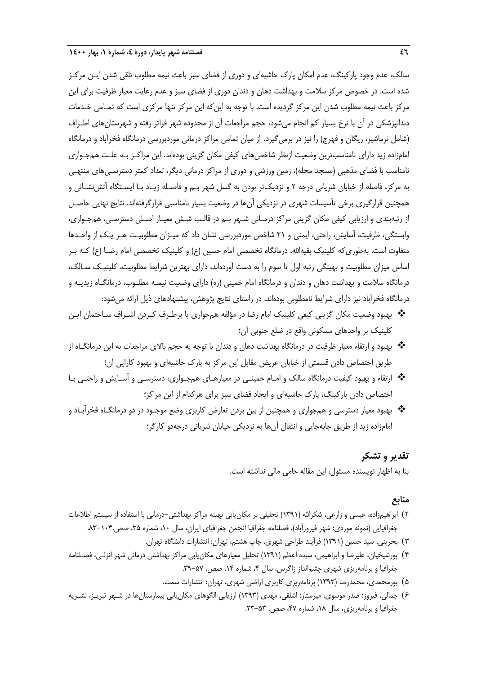سالک، عدم وجود پارکینگ، عدم امکان پارک حاشیهای و دوری از فضای سبز باعث نیمه مطلوب تلقی شدن ایـن مرکـز شده است. در خصوص مرکز سالمت و بهداشت دهان و دندان دوری از فضای سبز و عدم رعایت معیار ظرفیت برای این مرکز باعث نیمه مطلوب شدن این مرکز گردیده است. با توجه به اینکه این مرکز تنها مرکزی است که تمـامی خـدمات دندانپزشکی در آن با نرخ بسیار کم انجام میشود، حجم مراجعات آن از محدوده شهر فراتر رفته و شهرستانهای اطـراف )شامل نرماشیر، ریگان و فهرج( را نیز در برمیگیرد. از میان تمامی مراکز درمانی موردبررسی درمانگاه فخرآباد و درمانگاه امامزاده زید دارای نامناسبترین وضعیت ازنظر شاخصهای کیفی مکان گزینی بودهاند. این مراکـز بـه علـت همجـواری نامناسب با فضای مذهبی (مسجد محله)، زمین ورزشی و دوری از مراکز درمانی دیگر، تعداد کمتر دسترسـی۱های منتهـی به مرکز، فاصله از خیابان شریانی درجه 2 و نزدیکتر بودن به گسل شهر بـم و فاصـله زیـاد بـا ایسـتگاه آتشنشـانی و همچنین قرارگیری برخی تأسیسات شهری در نزدیکی آنها در وضعیت بسیار نامناسبی قرارگرفتهاند. نتایج نهایی حاصـل از رتبهبندی و ارزیابی کیفی مکان گزینی مراکز درمـانی شـهر بـم در قالـب شـش معیـار اصـلی دسترسـی، همجـواری، وابستگی، ظرفیت، آسایش، راحتی، ایمنی و 21 شاخص موردبررسی نشان داد که میـزان مطلوبیـت هـر یـک از واحـدها متفاوت است. بهطوری که کلینیک بقیهالله، درمانگاه تخصصی امام حسین (ع) و کلینیک تخصصی امام رضـا (ع) کـه بـر اساس میزان مطلوبیت و بهینگی رتبه اول تا سوم را به دست آوردهاند، دارای بهترین شرایط مطلوبیت، کلینیـک سـالک، درمانگاه سالمت و بهداشت دهان و دندان و درمانگاه امام خمینی )ره( دارای وضعیت نیمـه مطلـوب، درمانگـاه زیدیـه و درمانگاه فخرآباد نیز دارای شرایط نامطلوبی بودهاند. در راستای نتایج پژوهش، پیشنهادهای ذیل ارائه میشود:

- بهبود وضعیت مکان گزینی کیفی کلینیک امام رضا در مؤلفه همجواری با برطـرف کـردن اشـراف سـاختمان ایـن کلینیک بر واحدهای مسکونی واقع در ضلع جنوبی آن؛
- بهبود و ارتقاء معیار ظرفیت در درمانگاه بهداشت دهان و دندان با توجه به حجم باالی مراجعات به این درمانگـاه از طریق اختصاص دادن قسمتی از خیابان عریض مقابل این مرکز به پارك حاشیهای و بهبود کارایی آن؛
- ارتقاء و بهبود کیفیت درمانگاه سالک و امـام خمینـی در معیارهـای همجـواری، دسترسـی و آسـایش و راحتـی بـا اختصاص دادن پارکینگ، پارك حاشیهای و ایجاد فضای سبز برای هرکدام از این مراکز؛
- ◆ بهبود معیار دسترسی و همجواری و همچنین از بین بردن تعارض کاربری وضع موجـود در دو درمانگــاه فخرآبـاد و امامزاده زید از طریق جابهجایی و انتقال آنها به نزدیکی خیابان شریانی درجهدو کارگر؛

## **تقدیر و تشکر**

بنا به اظهار نویسنده مسئول، این مقاله حامی مالی نداشته است.

### **منابع**

- ۲) ابراهیمزاده، عیسی و زارعی، شکرالله (۱۳۹۱) تحلیلی بر مکان یابی بهینه مراکز بهداشتی-درمانی با استفاده از سیستم اطلاعات جغرافیایی (نمونه موردی: شهر فیروزآباد)، فصلنامه جغرافیا انجمن جغرافیای ایران، سال ۱۰۲، شماره ۳۵، صص.۱۰۴–۸۳.
	- 3( بحرینی، سید حسین )1391( فرآیند طراحی شهری، چاپ هشتم، تهران: انتشارات دانشگاه تهران.
- 4( پورشیخیان، علیرضا و ابراهیمی، سیده اعظم )1391( تحلیل معیارهای مکانیابی مراکز بهداشتی درمانی شهر انزلـی، فصـلنامه جغرافیا و برنامهریزی شهری چشمانداز زاگرس، سال ۴، شماره ۱۴، صص. ۵۷-۳۹.
	- 5( پورمحمدی، محمدرضا )1393( برنامهریزی کاربری اراضی شهری، تهران: انتشارات سمت.
- 6( جمالی، فیروز؛ صدر موسوی، میرستار؛ اشلقی، مهدی )1393( ارزیابی الگوهای مکانیابی بیمارستانها در شـهر تبریـز، نشـریه جغرافیا و برنامهریزی، سال ۱۸، شماره ۴۷، صص. ۵۳-۲۳.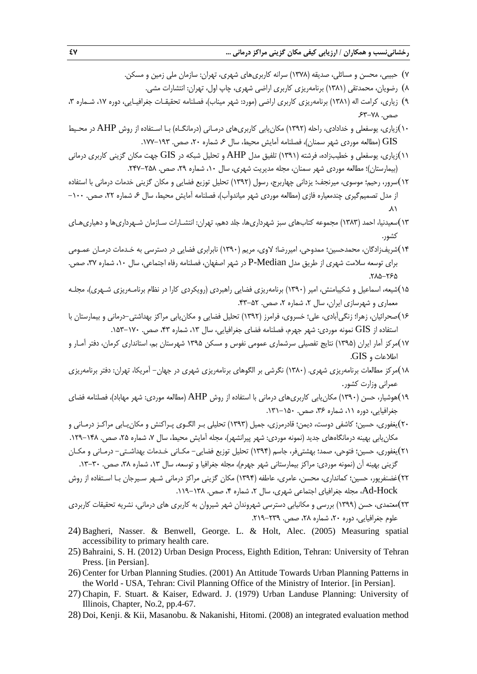**رخشانینسب و همکاران / ارزیابی کیفی مکان گزینی مراکز درمانی ... 47**

- 7( حبیبی، محسن و مسائلی، صدیقه )1378( سرانه کاربریهای شهری، تهران: سازمان ملی زمین و مسکن.
	- 8( رضویان، محمدتقی )1381( برنامهریزی کاربری اراضی شهری، چاپ اول، تهران: انتشارات مشی.
- ۹) زیاری، کرامت اله (۱۳۸۱) برنامهریزی کاربری اراضی (مورد: شهر میناب)، فصلنامه تحقیقـات جغرافیـایی، دوره ۱۷، شـماره ۳، صص. ٧٨-۶۳-۶۳
- 10(زیاری، یوسفعلی و خدادادی، راحله )1392( مکانیابی کاربریهای درمـانی )درمانگـاه( بـا اسـتفاده از روش AHP در محـی GIS (مطالعه موردی شهر سمنان)، فصلنامه آمایش محیط، سال ۶، شماره ۲۰، صص. ۱۹۲–۱۷۷.
- 11(زیاری، یوسفعلی و خطیبزاده، فرشته )1391( تلفیق مدل AHP و تحلیل شبکه در GIS جهت مکان گزینی کاربری درمانی (بیمارستان)؛ مطالعه موردی شهر سمنان، مجله مدیریت شهری، سال ۱۰، شماره ۲۹، صص. ۲۵۸-۲۴۷.
- 12(سرور، رحیم؛ موسوی، میرنجف؛ یزدانی چهاربرج، رسول )1392( تحلیل توزیع فضایی و مکان گزینی خدمات درمانی با استفاده از مدل تصمیم گیری چندمعیاره فازی (مطالعه موردی شهر میاندوآب)، فصلنامه آمایش محیط، سال ۶، شماره ۲۲، صص. ۱۰۰- $\lambda$
- 13(سعیدنیا، احمد )1383( مجموعه کتابهای سبز شهرداریها، جلد دهم، تهران: انتشـارات سـازمان شـهرداریها و دهیاریهـای کشور.
- 14(شریفزادگان، محمدحسین؛ ممدوحی، امیررضا؛ الوی، مریم )1390( نابرابری فضایی در دسترسی به خـدمات درمـان عمـومی برای توسعه سالمت شهری از طریق مدل Median-P در شهر اصفهان، فصلنامه رفاه اجتماعی، سال ،10 شماره ،37 صص. .285-265
- 15(شیعه، اسماعیل و شکیبامنش، امیر )1390( برنامهریزی فضایی راهبردی )رویکردی کارا در نظام برنامـهریزی شـهری(، مجلـه معماری و شهرسازی ایران، سال ۲، شماره ۲، صص. ۵۲-۴۳.
- 16(صحرائیان، زهرا؛ زنگیآبادی، علی؛ خسروی، فرامرز )1392( تحلیل فضایی و مکانیابی مراکز بهداشتی-درمانی و بیمارستان با استفاده از  $\rm{GIS}$  نمونه موردی: شهر جهرم، فصلنامه فضای جغرافیایی، سال ۱۳، شماره ۴۳، صص. ۱۷۰–۱۵۳.
- 17(مرکز آمار ایران )1395( نتایج تفصیلی سرشماری عمومی نفوس و مسکن 1395 شهرستان بم، استانداری کرمان، دفتر آمـار و اطالعات و GIS.
- 18(مرکز مطالعات برنامهریزی شهری. )1380( نگرشی بر الگوهای برنامهریزی شهری در جهان- آمریکا، تهران: دفتر برنامهریزی عمرانی وزارت کشور.
- 19(هوشیار، حسن )1390( مکانیابی کاربریهای درمانی با استفاده از روش AHP( مطالعه موردی: شهر مهاباد(، فصلنامه فضای جغرافیایی، دوره ۱۱، شماره ۳۶، صص. ۱۵۰–۱۳۱.
- 20(یغفوری، حسین؛ کاشفی دوست، دیمن؛ قادرمرزی، جمیل )1393( تحلیلی بـر الگـوی پـراکنش و مکانیـابی مراکـز درمـانی و مکان یابی بهینه درمانگاههای جدید (نمونه موردی: شهر پیرانشهر)، مجله آمایش محیط، سال ۷، شماره ۲۵، صص. ۱۴۸–۱۲۹.
- 21(یغفوری، حسین؛ فتوحی، صمد؛ بهشتیفر، جاسم )1394( تحلیل توزیع فضایی- مکـانی خـدمات بهداشـتی- درمـانی و مکـان گزینی بهینه آن (نمونه موردی: مراکز بیمارستانی شهر جهرم)، مجله جغرافیا و توسعه، سال ۱۳، شماره ۳۸، صص. ۳۰-۱۳.
- 22(رضنفرپور، حسین؛ کمانداری، محسن، عامری، عاطفه )1394( مکان گزینی مراکز درمانی شـهر سـیرجان بـا اسـتفاده از روش Ad-Hock، مجله جغرافیای اجتماعی شهری، سال ۲، شماره ۴، صص. ۱۳۸–۱۱۹.
- 23(معتمدی، حسن )1399( بررسی و مکانیابی دسترسی شهروندان شهر شیروان به کاربری های درمانی، نشریه تحقیقات کاربردی علوم جغرافیایی، دوره ۲۰، شماره ۲۸، صص. ۲۳۹-۲۱۹.
- 24) Bagheri, Nasser. & Benwell, George. L. & Holt, Alec. (2005) Measuring spatial accessibility to primary health care.
- 25) Bahraini, S. H. (2012) Urban Design Process, Eighth Edition, Tehran: University of Tehran Press. [in Persian].
- 26) Center for Urban Planning Studies. (2001) An Attitude Towards Urban Planning Patterns in the World - USA, Tehran: Civil Planning Office of the Ministry of Interior. [in Persian].
- 27) Chapin, F. Stuart. & Kaiser, Edward. J. (1979) Urban Landuse Planning: University of Illinois, Chapter, No.2, pp.4-67.
- 28) Doi, Kenji. & Kii, Masanobu. & Nakanishi, Hitomi. (2008) an integrated evaluation method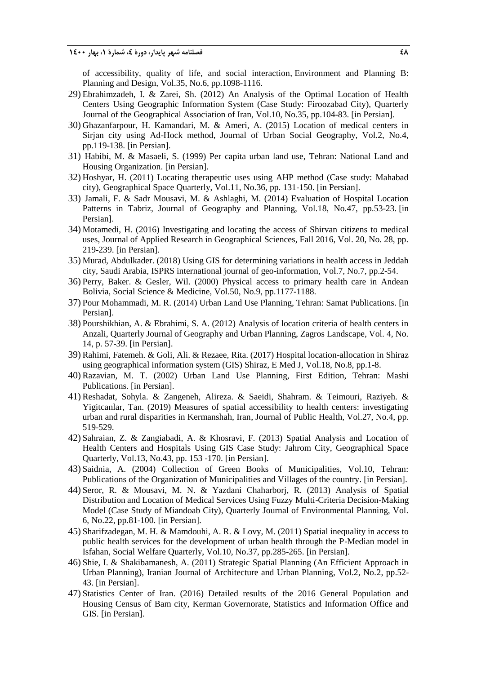of accessibility, quality of life, and social interaction, Environment and Planning B: Planning and Design, Vol.35, No.6, pp.1098-1116.

- 29) Ebrahimzadeh, I. & Zarei, Sh. (2012) An Analysis of the Optimal Location of Health Centers Using Geographic Information System (Case Study: Firoozabad City), Quarterly Journal of the Geographical Association of Iran, Vol.10, No.35, pp.104-83. [in Persian].
- 30) Ghazanfarpour, H. Kamandari, M. & Ameri, A. (2015) Location of medical centers in Sirjan city using Ad-Hock method, Journal of Urban Social Geography, Vol.2, No.4, pp.119-138. [in Persian].
- 31) Habibi, M. & Masaeli, S. (1999) Per capita urban land use, Tehran: National Land and Housing Organization. [in Persian].
- 32) Hoshyar, H. (2011) Locating therapeutic uses using AHP method (Case study: Mahabad city), Geographical Space Quarterly, Vol.11, No.36, pp. 131-150. [in Persian].
- 33) Jamali, F. & Sadr Mousavi, M. & Ashlaghi, M. (2014) Evaluation of Hospital Location Patterns in Tabriz, Journal of Geography and Planning, Vol.18, No.47, pp.53-23. [in Persian].
- 34) Motamedi, H. (2016) Investigating and locating the access of Shirvan citizens to medical uses, Journal of Applied Research in Geographical Sciences, Fall 2016, Vol. 20, No. 28, pp. 219-239. [in Persian].
- 35) Murad, Abdulkader. (2018) Using GIS for determining variations in health access in Jeddah city, Saudi Arabia, ISPRS international journal of geo-information, Vol.7, No.7, pp.2-54.
- 36) Perry, Baker. & Gesler, Wil. (2000) Physical access to primary health care in Andean Bolivia, Social Science & Medicine, Vol.50, No.9, pp.1177-1188.
- 37) Pour Mohammadi, M. R. (2014) Urban Land Use Planning, Tehran: Samat Publications. [in Persian].
- 38) Pourshikhian, A. & Ebrahimi, S. A. (2012) Analysis of location criteria of health centers in Anzali, Quarterly Journal of Geography and Urban Planning, Zagros Landscape, Vol. 4, No. 14, p. 57-39. [in Persian].
- 39) Rahimi, Fatemeh. & Goli, Ali. & Rezaee, Rita. (2017) Hospital location-allocation in Shiraz using geographical information system (GIS) Shiraz, E Med J, Vol.18, No.8, pp.1-8.
- 40) Razavian, M. T. (2002) Urban Land Use Planning, First Edition, Tehran: Mashi Publications. [in Persian].
- 41) Reshadat, Sohyla. & Zangeneh, Alireza. & Saeidi, Shahram. & Teimouri, Raziyeh. & Yigitcanlar, Tan. (2019) Measures of spatial accessibility to health centers: investigating urban and rural disparities in Kermanshah, Iran, Journal of Public Health, Vol.27, No.4, pp. 519-529.
- 42) Sahraian, Z. & Zangiabadi, A. & Khosravi, F. (2013) Spatial Analysis and Location of Health Centers and Hospitals Using GIS Case Study: Jahrom City, Geographical Space Quarterly, Vol.13, No.43, pp. 153 -170. [in Persian].
- 43) Saidnia, A. (2004) Collection of Green Books of Municipalities, Vol.10, Tehran: Publications of the Organization of Municipalities and Villages of the country. [in Persian].
- 44) Seror, R. & Mousavi, M. N. & Yazdani Chaharborj, R. (2013) Analysis of Spatial Distribution and Location of Medical Services Using Fuzzy Multi-Criteria Decision-Making Model (Case Study of Miandoab City), Quarterly Journal of Environmental Planning, Vol. 6, No.22, pp.81-100. [in Persian].
- 45) Sharifzadegan, M. H. & Mamdouhi, A. R. & Lovy, M. (2011) Spatial inequality in access to public health services for the development of urban health through the P-Median model in Isfahan, Social Welfare Quarterly, Vol.10, No.37, pp.285-265. [in Persian].
- 46) Shie, I. & Shakibamanesh, A. (2011) Strategic Spatial Planning (An Efficient Approach in Urban Planning), Iranian Journal of Architecture and Urban Planning, Vol.2, No.2, pp.52- 43. [in Persian].
- 47) Statistics Center of Iran. (2016) Detailed results of the 2016 General Population and Housing Census of Bam city, Kerman Governorate, Statistics and Information Office and GIS. [in Persian].